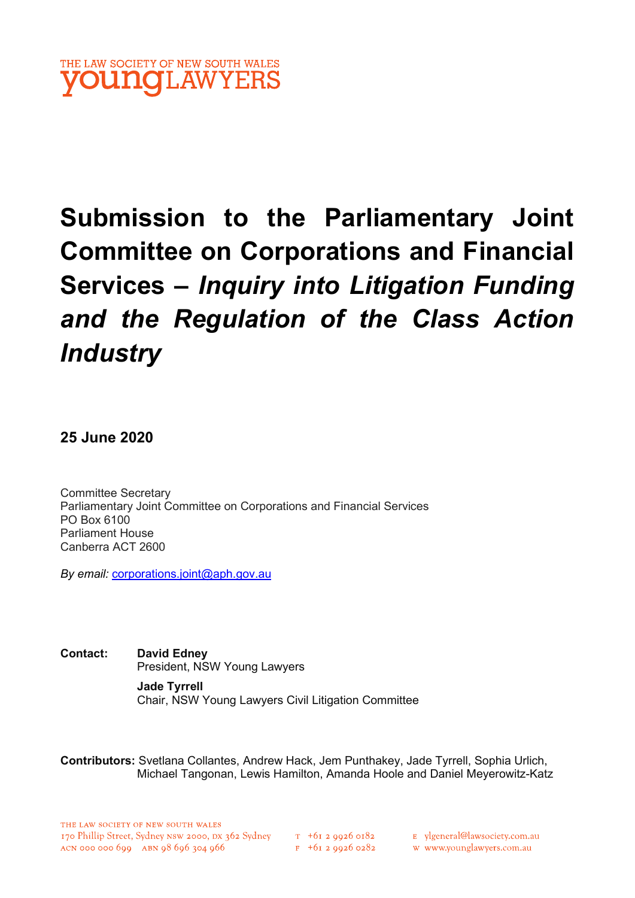

# Submission to the Parliamentary Joint Committee on Corporations and Financial Services – Inquiry into Litigation Funding and the Regulation of the Class Action **Industry**

25 June 2020

Committee Secretary Parliamentary Joint Committee on Corporations and Financial Services PO Box 6100 Parliament House Canberra ACT 2600

By email: corporations.joint@aph.gov.au

Contact: David Edney President, NSW Young Lawyers

> Jade Tyrrell Chair, NSW Young Lawyers Civil Litigation Committee

Contributors: Svetlana Collantes, Andrew Hack, Jem Punthakey, Jade Tyrrell, Sophia Urlich, Michael Tangonan, Lewis Hamilton, Amanda Hoole and Daniel Meyerowitz-Katz

E ylgeneral@lawsociety.com.au

w www.younglawyers.com.au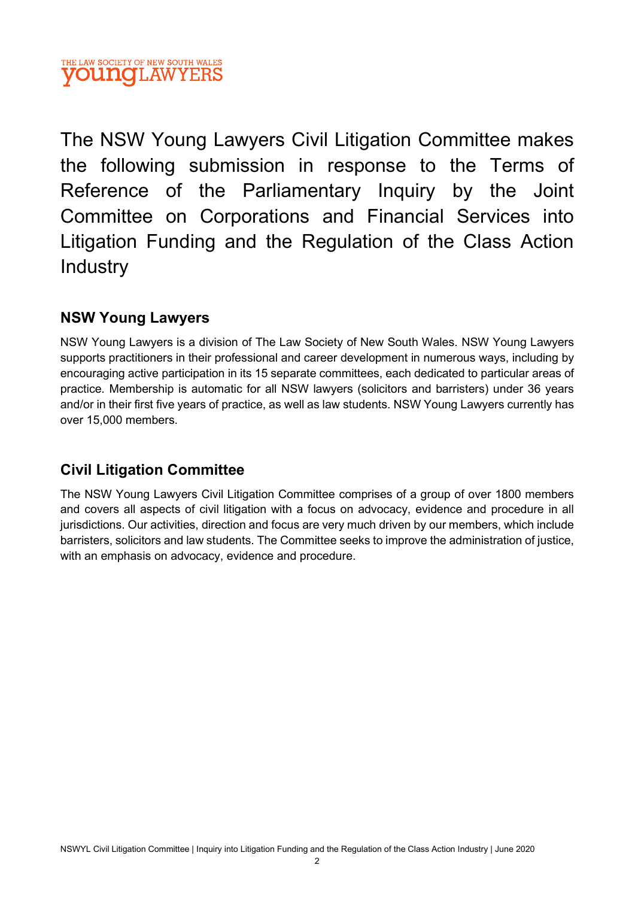The NSW Young Lawyers Civil Litigation Committee makes the following submission in response to the Terms of Reference of the Parliamentary Inquiry by the Joint Committee on Corporations and Financial Services into Litigation Funding and the Regulation of the Class Action Industry

## NSW Young Lawyers

NSW Young Lawyers is a division of The Law Society of New South Wales. NSW Young Lawyers supports practitioners in their professional and career development in numerous ways, including by encouraging active participation in its 15 separate committees, each dedicated to particular areas of practice. Membership is automatic for all NSW lawyers (solicitors and barristers) under 36 years and/or in their first five years of practice, as well as law students. NSW Young Lawyers currently has over 15,000 members.

## Civil Litigation Committee

The NSW Young Lawyers Civil Litigation Committee comprises of a group of over 1800 members and covers all aspects of civil litigation with a focus on advocacy, evidence and procedure in all jurisdictions. Our activities, direction and focus are very much driven by our members, which include barristers, solicitors and law students. The Committee seeks to improve the administration of justice, with an emphasis on advocacy, evidence and procedure.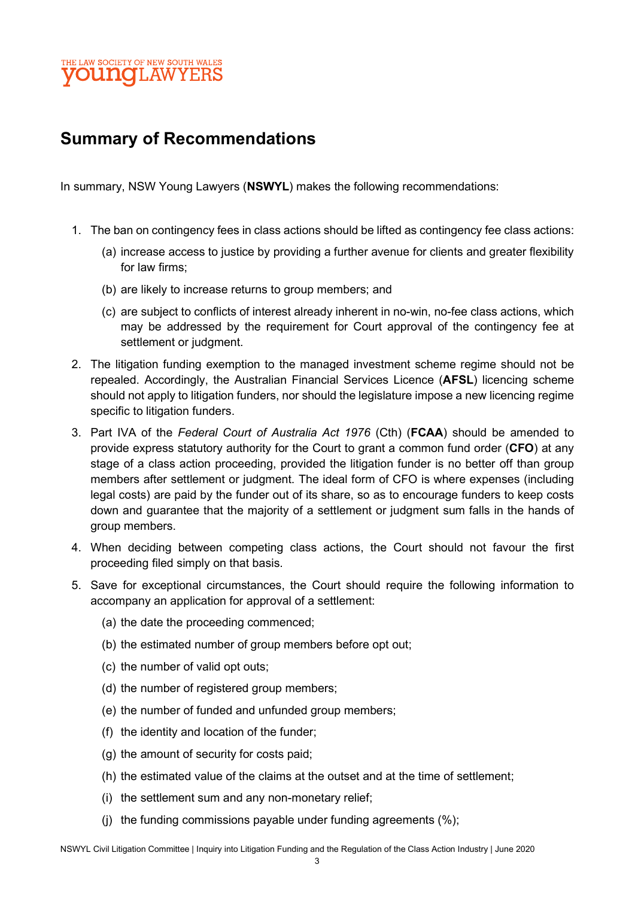

# Summary of Recommendations

In summary, NSW Young Lawyers (NSWYL) makes the following recommendations:

- 1. The ban on contingency fees in class actions should be lifted as contingency fee class actions:
	- (a) increase access to justice by providing a further avenue for clients and greater flexibility for law firms;
	- (b) are likely to increase returns to group members; and
	- (c) are subject to conflicts of interest already inherent in no-win, no-fee class actions, which may be addressed by the requirement for Court approval of the contingency fee at settlement or judgment.
- 2. The litigation funding exemption to the managed investment scheme regime should not be repealed. Accordingly, the Australian Financial Services Licence (AFSL) licencing scheme should not apply to litigation funders, nor should the legislature impose a new licencing regime specific to litigation funders.
- 3. Part IVA of the Federal Court of Australia Act 1976 (Cth) (FCAA) should be amended to provide express statutory authority for the Court to grant a common fund order (CFO) at any stage of a class action proceeding, provided the litigation funder is no better off than group members after settlement or judgment. The ideal form of CFO is where expenses (including legal costs) are paid by the funder out of its share, so as to encourage funders to keep costs down and guarantee that the majority of a settlement or judgment sum falls in the hands of group members.
- 4. When deciding between competing class actions, the Court should not favour the first proceeding filed simply on that basis.
- 5. Save for exceptional circumstances, the Court should require the following information to accompany an application for approval of a settlement:
	- (a) the date the proceeding commenced;
	- (b) the estimated number of group members before opt out;
	- (c) the number of valid opt outs;
	- (d) the number of registered group members;
	- (e) the number of funded and unfunded group members;
	- (f) the identity and location of the funder;
	- (g) the amount of security for costs paid;
	- (h) the estimated value of the claims at the outset and at the time of settlement;
	- (i) the settlement sum and any non-monetary relief;
	- (j) the funding commissions payable under funding agreements (%);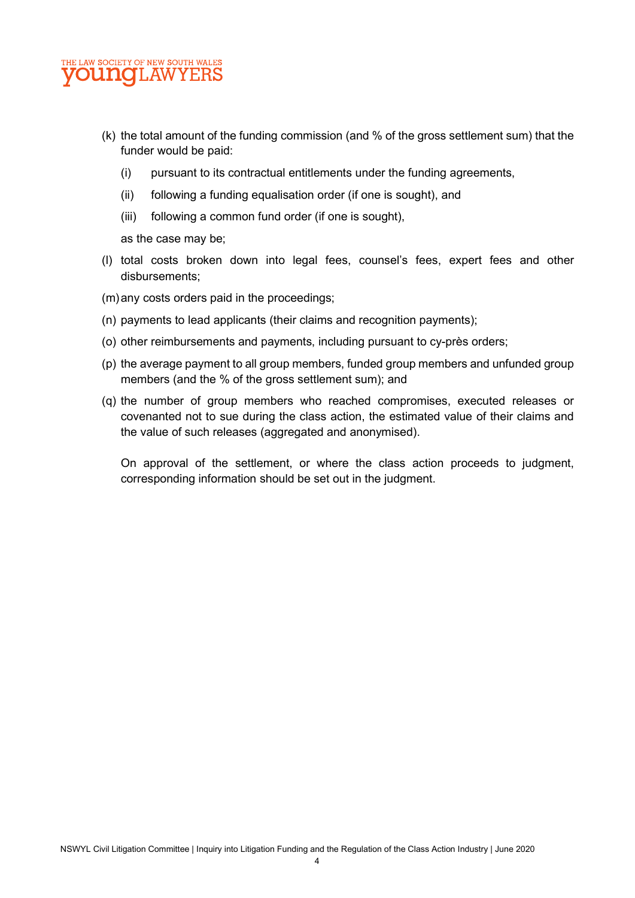

- (k) the total amount of the funding commission (and % of the gross settlement sum) that the funder would be paid:
	- (i) pursuant to its contractual entitlements under the funding agreements,
	- (ii) following a funding equalisation order (if one is sought), and
	- (iii) following a common fund order (if one is sought),

as the case may be;

- (l) total costs broken down into legal fees, counsel's fees, expert fees and other disbursements;
- (m) any costs orders paid in the proceedings;
- (n) payments to lead applicants (their claims and recognition payments);
- (o) other reimbursements and payments, including pursuant to cy-près orders;
- (p) the average payment to all group members, funded group members and unfunded group members (and the % of the gross settlement sum); and
- (q) the number of group members who reached compromises, executed releases or covenanted not to sue during the class action, the estimated value of their claims and the value of such releases (aggregated and anonymised).

On approval of the settlement, or where the class action proceeds to judgment, corresponding information should be set out in the judgment.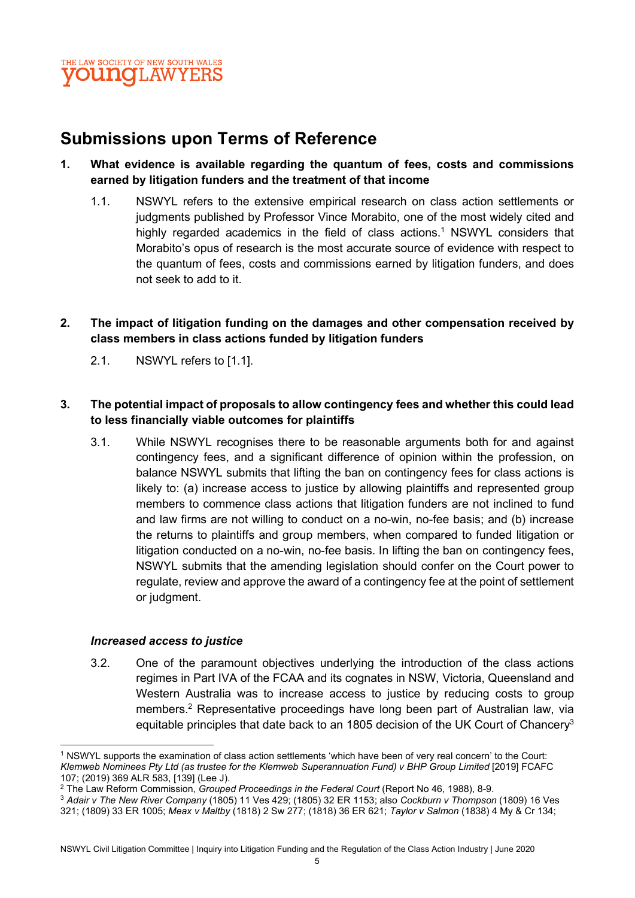# Submissions upon Terms of Reference

#### 1. What evidence is available regarding the quantum of fees, costs and commissions earned by litigation funders and the treatment of that income

- 1.1. NSWYL refers to the extensive empirical research on class action settlements or judgments published by Professor Vince Morabito, one of the most widely cited and highly regarded academics in the field of class actions.<sup>1</sup> NSWYL considers that Morabito's opus of research is the most accurate source of evidence with respect to the quantum of fees, costs and commissions earned by litigation funders, and does not seek to add to it.
- 2. The impact of litigation funding on the damages and other compensation received by class members in class actions funded by litigation funders
	- 2.1. NSWYL refers to [1.1].

#### 3. The potential impact of proposals to allow contingency fees and whether this could lead to less financially viable outcomes for plaintiffs

3.1. While NSWYL recognises there to be reasonable arguments both for and against contingency fees, and a significant difference of opinion within the profession, on balance NSWYL submits that lifting the ban on contingency fees for class actions is likely to: (a) increase access to justice by allowing plaintiffs and represented group members to commence class actions that litigation funders are not inclined to fund and law firms are not willing to conduct on a no-win, no-fee basis; and (b) increase the returns to plaintiffs and group members, when compared to funded litigation or litigation conducted on a no-win, no-fee basis. In lifting the ban on contingency fees, NSWYL submits that the amending legislation should confer on the Court power to regulate, review and approve the award of a contingency fee at the point of settlement or judgment.

#### Increased access to justice

3.2. One of the paramount objectives underlying the introduction of the class actions regimes in Part IVA of the FCAA and its cognates in NSW, Victoria, Queensland and Western Australia was to increase access to justice by reducing costs to group members.<sup>2</sup> Representative proceedings have long been part of Australian law, via equitable principles that date back to an 1805 decision of the UK Court of Chancery<sup>3</sup>

<sup>3</sup> Adair v The New River Company (1805) 11 Ves 429; (1805) 32 ER 1153; also Cockburn v Thompson (1809) 16 Ves 321; (1809) 33 ER 1005; Meax v Maltby (1818) 2 Sw 277; (1818) 36 ER 621; Taylor v Salmon (1838) 4 My & Cr 134;

<sup>1</sup> NSWYL supports the examination of class action settlements 'which have been of very real concern' to the Court: Klemweb Nominees Pty Ltd (as trustee for the Klemweb Superannuation Fund) v BHP Group Limited [2019] FCAFC 107; (2019) 369 ALR 583, [139] (Lee J).

<sup>&</sup>lt;sup>2</sup> The Law Reform Commission, Grouped Proceedings in the Federal Court (Report No 46, 1988), 8-9.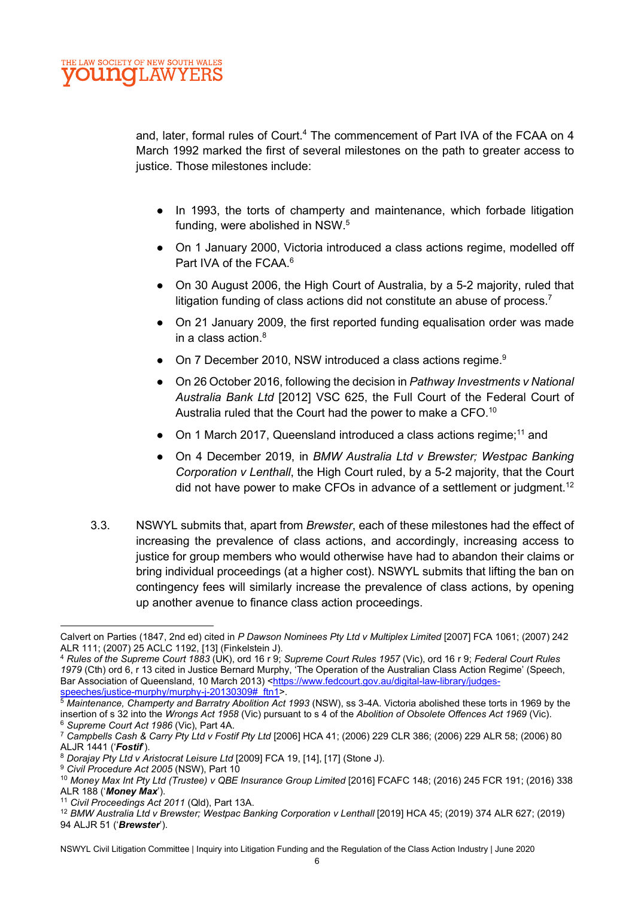and, later, formal rules of Court.<sup>4</sup> The commencement of Part IVA of the FCAA on 4 March 1992 marked the first of several milestones on the path to greater access to justice. Those milestones include:

- In 1993, the torts of champerty and maintenance, which forbade litigation funding, were abolished in NSW.<sup>5</sup>
- On 1 January 2000, Victoria introduced a class actions regime, modelled off Part IVA of the FCAA.<sup>6</sup>
- On 30 August 2006, the High Court of Australia, by a 5-2 majority, ruled that litigation funding of class actions did not constitute an abuse of process.<sup>7</sup>
- On 21 January 2009, the first reported funding equalisation order was made in a class action. $^8\,$
- On 7 December 2010, NSW introduced a class actions regime.<sup>9</sup>
- On 26 October 2016, following the decision in Pathway Investments v National Australia Bank Ltd [2012] VSC 625, the Full Court of the Federal Court of Australia ruled that the Court had the power to make a CFO.<sup>10</sup>
- On 1 March 2017, Queensland introduced a class actions regime;<sup>11</sup> and
- On 4 December 2019, in BMW Australia Ltd v Brewster; Westpac Banking Corporation v Lenthall, the High Court ruled, by a 5-2 majority, that the Court did not have power to make CFOs in advance of a settlement or judgment.<sup>12</sup>
- 3.3. NSWYL submits that, apart from Brewster, each of these milestones had the effect of increasing the prevalence of class actions, and accordingly, increasing access to justice for group members who would otherwise have had to abandon their claims or bring individual proceedings (at a higher cost). NSWYL submits that lifting the ban on contingency fees will similarly increase the prevalence of class actions, by opening up another avenue to finance class action proceedings.

Calvert on Parties (1847, 2nd ed) cited in P Dawson Nominees Pty Ltd v Multiplex Limited [2007] FCA 1061; (2007) 242 ALR 111; (2007) 25 ACLC 1192, [13] (Finkelstein J).

<sup>4</sup> Rules of the Supreme Court 1883 (UK), ord 16 r 9; Supreme Court Rules 1957 (Vic), ord 16 r 9; Federal Court Rules 1979 (Cth) ord 6, r 13 cited in Justice Bernard Murphy, 'The Operation of the Australian Class Action Regime' (Speech, Bar Association of Queensland, 10 March 2013) <https://www.fedcourt.gov.au/digital-law-library/judgesspeeches/justice-murphy/murphy-j-20130309#\_ftn1>.

<sup>5</sup> Maintenance, Champerty and Barratry Abolition Act 1993 (NSW), ss 3-4A. Victoria abolished these torts in 1969 by the insertion of s 32 into the Wrongs Act 1958 (Vic) pursuant to s 4 of the Abolition of Obsolete Offences Act 1969 (Vic). <sup>6</sup> Supreme Court Act 1986 (Vic), Part 4A.

 $^7$  Campbells Cash & Carry Pty Ltd v Fostif Pty Ltd [2006] HCA 41; (2006) 229 CLR 386; (2006) 229 ALR 58; (2006) 80 ALJR 1441 ('Fostif').

<sup>8</sup> Dorajay Pty Ltd v Aristocrat Leisure Ltd [2009] FCA 19, [14], [17] (Stone J).

<sup>&</sup>lt;sup>9</sup> Civil Procedure Act 2005 (NSW), Part 10

<sup>&</sup>lt;sup>10</sup> Money Max Int Pty Ltd (Trustee) v QBE Insurance Group Limited [2016] FCAFC 148; (2016) 245 FCR 191; (2016) 338 ALR 188 ('Money Max').

<sup>&</sup>lt;sup>11</sup> Civil Proceedings Act 2011 (Qld), Part 13A.

<sup>12</sup> BMW Australia Ltd v Brewster; Westpac Banking Corporation v Lenthall [2019] HCA 45; (2019) 374 ALR 627; (2019) 94 ALJR 51 ('Brewster').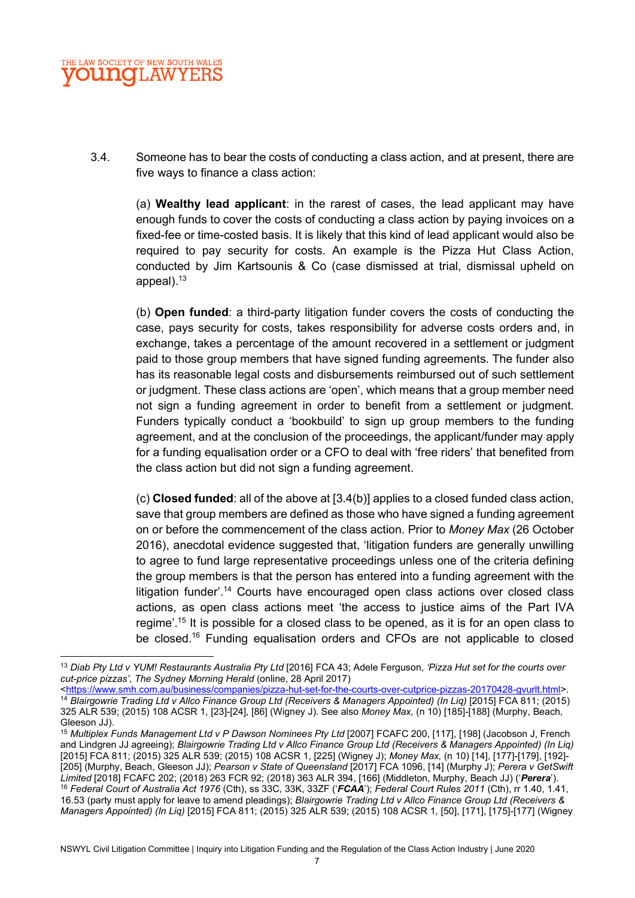

3.4. Someone has to bear the costs of conducting a class action, and at present, there are five ways to finance a class action:

(a) Wealthy lead applicant: in the rarest of cases, the lead applicant may have enough funds to cover the costs of conducting a class action by paying invoices on a fixed-fee or time-costed basis. It is likely that this kind of lead applicant would also be required to pay security for costs. An example is the Pizza Hut Class Action, conducted by Jim Kartsounis & Co (case dismissed at trial, dismissal upheld on appeal).<sup>13</sup>

(b) Open funded: a third-party litigation funder covers the costs of conducting the case, pays security for costs, takes responsibility for adverse costs orders and, in exchange, takes a percentage of the amount recovered in a settlement or judgment paid to those group members that have signed funding agreements. The funder also has its reasonable legal costs and disbursements reimbursed out of such settlement or judgment. These class actions are 'open', which means that a group member need not sign a funding agreement in order to benefit from a settlement or judgment. Funders typically conduct a 'bookbuild' to sign up group members to the funding agreement, and at the conclusion of the proceedings, the applicant/funder may apply for a funding equalisation order or a CFO to deal with 'free riders' that benefited from the class action but did not sign a funding agreement.

(c) Closed funded: all of the above at [3.4(b)] applies to a closed funded class action, save that group members are defined as those who have signed a funding agreement on or before the commencement of the class action. Prior to Money Max (26 October 2016), anecdotal evidence suggested that, 'litigation funders are generally unwilling to agree to fund large representative proceedings unless one of the criteria defining the group members is that the person has entered into a funding agreement with the litigation funder'.<sup>14</sup> Courts have encouraged open class actions over closed class actions, as open class actions meet 'the access to justice aims of the Part IVA regime'.<sup>15</sup> It is possible for a closed class to be opened, as it is for an open class to be closed.<sup>16</sup> Funding equalisation orders and CFOs are not applicable to closed

<sup>&</sup>lt;sup>13</sup> Diab Pty Ltd v YUM! Restaurants Australia Pty Ltd [2016] FCA 43; Adele Ferguson, 'Pizza Hut set for the courts over cut-price pizzas', The Sydney Morning Herald (online, 28 April 2017)

<sup>&</sup>lt;https://www.smh.com.au/business/companies/pizza-hut-set-for-the-courts-over-cutprice-pizzas-20170428-gvurlt.html>. <sup>14</sup> Blairgowrie Trading Ltd v Allco Finance Group Ltd (Receivers & Managers Appointed) (In Liq) [2015] FCA 811; (2015) 325 ALR 539; (2015) 108 ACSR 1, [23]-[24], [86] (Wigney J). See also Money Max, (n 10) [185]-[188] (Murphy, Beach, Gleeson JJ).

<sup>&</sup>lt;sup>15</sup> Multiplex Funds Management Ltd v P Dawson Nominees Pty Ltd [2007] FCAFC 200, [117], [198] (Jacobson J, French and Lindgren JJ agreeing); Blairgowrie Trading Ltd v Allco Finance Group Ltd (Receivers & Managers Appointed) (In Liq) [2015] FCA 811; (2015) 325 ALR 539; (2015) 108 ACSR 1, [225] (Wigney J); Money Max, (n 10) [14], [177]-[179], [192]- [205] (Murphy, Beach, Gleeson JJ); Pearson v State of Queensland [2017] FCA 1096, [14] (Murphy J); Perera v GetSwift Limited [2018] FCAFC 202; (2018) 263 FCR 92; (2018) 363 ALR 394, [166] (Middleton, Murphy, Beach JJ) ('Perera'). 16 Federal Court of Australia Act 1976 (Cth), ss 33C, 33K, 33ZF ('FCAA'); Federal Court Rules 2011 (Cth), rr 1.40, 1.41, 16.53 (party must apply for leave to amend pleadings); Blairgowrie Trading Ltd v Allco Finance Group Ltd (Receivers & Managers Appointed) (In Liq) [2015] FCA 811; (2015) 325 ALR 539; (2015) 108 ACSR 1, [50], [171], [175]-[177] (Wigney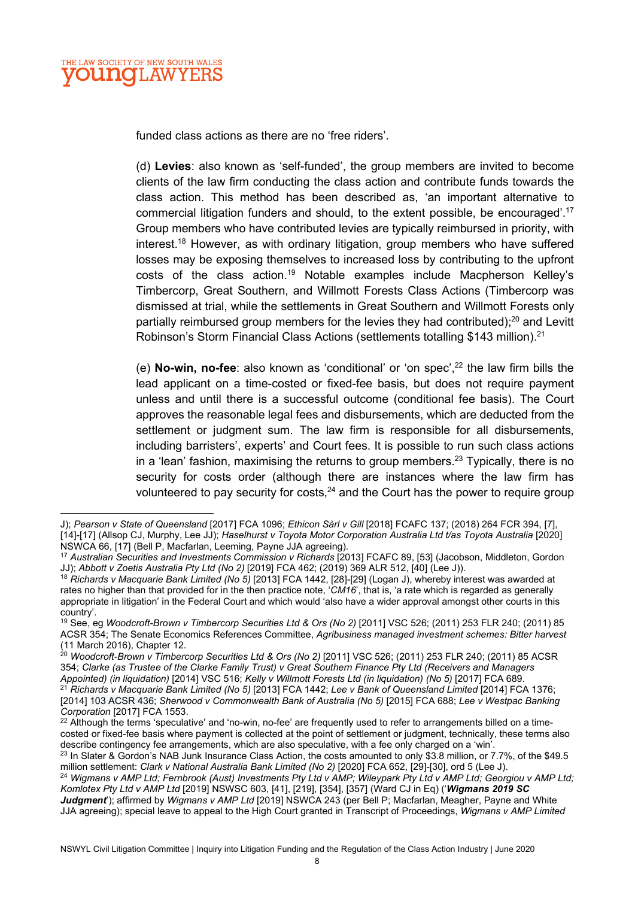funded class actions as there are no 'free riders'.

(d) Levies: also known as 'self-funded', the group members are invited to become clients of the law firm conducting the class action and contribute funds towards the class action. This method has been described as, 'an important alternative to commercial litigation funders and should, to the extent possible, be encouraged'.<sup>17</sup> Group members who have contributed levies are typically reimbursed in priority, with interest.<sup>18</sup> However, as with ordinary litigation, group members who have suffered losses may be exposing themselves to increased loss by contributing to the upfront costs of the class action.<sup>19</sup> Notable examples include Macpherson Kelley's Timbercorp, Great Southern, and Willmott Forests Class Actions (Timbercorp was dismissed at trial, while the settlements in Great Southern and Willmott Forests only partially reimbursed group members for the levies they had contributed):<sup>20</sup> and Levitt Robinson's Storm Financial Class Actions (settlements totalling \$143 million).<sup>21</sup>

(e) **No-win, no-fee**: also known as 'conditional' or 'on spec',  $22$  the law firm bills the lead applicant on a time-costed or fixed-fee basis, but does not require payment unless and until there is a successful outcome (conditional fee basis). The Court approves the reasonable legal fees and disbursements, which are deducted from the settlement or judgment sum. The law firm is responsible for all disbursements, including barristers', experts' and Court fees. It is possible to run such class actions in a 'lean' fashion, maximising the returns to group members.<sup>23</sup> Typically, there is no security for costs order (although there are instances where the law firm has volunteered to pay security for costs, $24$  and the Court has the power to require group

J); Pearson v State of Queensland [2017] FCA 1096; Ethicon Sàrl v Gill [2018] FCAFC 137; (2018) 264 FCR 394, [7], [14]-[17] (Allsop CJ, Murphy, Lee JJ); Haselhurst v Toyota Motor Corporation Australia Ltd t/as Toyota Australia [2020] NSWCA 66, [17] (Bell P, Macfarlan, Leeming, Payne JJA agreeing).

<sup>17</sup> Australian Securities and Investments Commission v Richards [2013] FCAFC 89, [53] (Jacobson, Middleton, Gordon JJ); Abbott v Zoetis Australia Pty Ltd (No 2) [2019] FCA 462; (2019) 369 ALR 512, [40] (Lee J)).

<sup>18</sup> Richards v Macquarie Bank Limited (No 5) [2013] FCA 1442, [28]-[29] (Logan J), whereby interest was awarded at rates no higher than that provided for in the then practice note, 'CM16', that is, 'a rate which is regarded as generally appropriate in litigation' in the Federal Court and which would 'also have a wider approval amongst other courts in this country'.

<sup>19</sup> See, eg Woodcroft-Brown v Timbercorp Securities Ltd & Ors (No 2) [2011] VSC 526; (2011) 253 FLR 240; (2011) 85 ACSR 354; The Senate Economics References Committee, Agribusiness managed investment schemes: Bitter harvest (11 March 2016), Chapter 12.

 $^{20}$  Woodcroft-Brown v Timbercorp Securities Ltd & Ors (No 2) [2011] VSC 526; (2011) 253 FLR 240; (2011) 85 ACSR 354; Clarke (as Trustee of the Clarke Family Trust) v Great Southern Finance Pty Ltd (Receivers and Managers Appointed) (in liquidation) [2014] VSC 516; Kelly v Willmott Forests Ltd (in liquidation) (No 5) [2017] FCA 689. <sup>21</sup> Richards v Macquarie Bank Limited (No 5) [2013] FCA 1442; Lee v Bank of Queensland Limited [2014] FCA 1376; [2014] 103 ACSR 436; Sherwood v Commonwealth Bank of Australia (No 5) [2015] FCA 688; Lee v Westpac Banking Corporation [2017] FCA 1553.

 $22$  Although the terms 'speculative' and 'no-win, no-fee' are frequently used to refer to arrangements billed on a timecosted or fixed-fee basis where payment is collected at the point of settlement or judgment, technically, these terms also describe contingency fee arrangements, which are also speculative, with a fee only charged on a 'win'.

<sup>&</sup>lt;sup>23</sup> In Slater & Gordon's NAB Junk Insurance Class Action, the costs amounted to only \$3.8 million, or 7.7%, of the \$49.5 million settlement: Clark v National Australia Bank Limited (No 2) [2020] FCA 652, [29]-[30], ord 5 (Lee J).

<sup>&</sup>lt;sup>24</sup> Wigmans v AMP Ltd; Fernbrook (Aust) Investments Pty Ltd v AMP; Wileypark Pty Ltd v AMP Ltd; Georgiou v AMP Ltd; Komlotex Pty Ltd v AMP Ltd [2019] NSWSC 603, [41], [219], [354], [357] (Ward CJ in Eq) ('Wigmans 2019 SC Judgment'); affirmed by Wigmans v AMP Ltd [2019] NSWCA 243 (per Bell P; Macfarlan, Meagher, Payne and White JJA agreeing); special leave to appeal to the High Court granted in Transcript of Proceedings, Wigmans v AMP Limited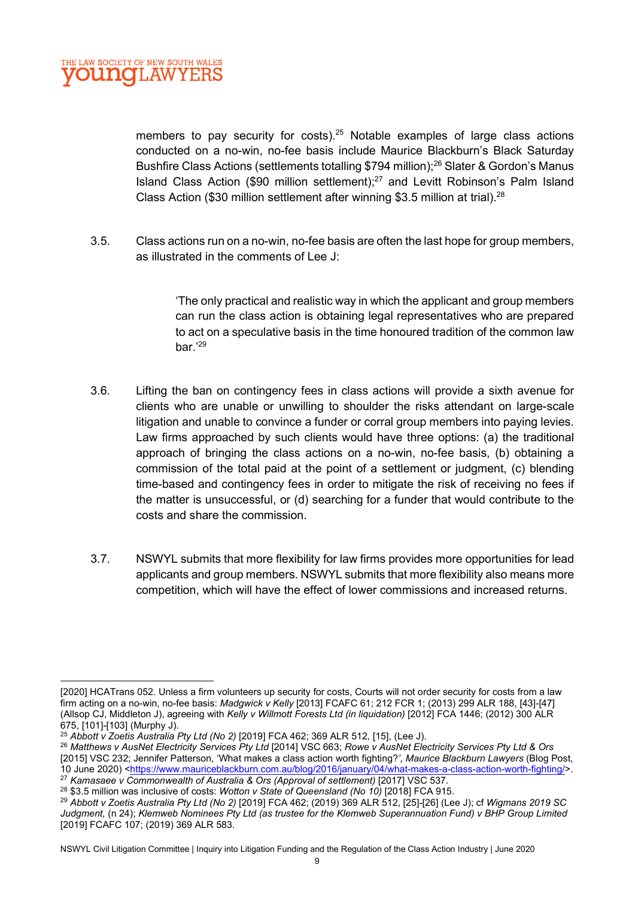members to pay security for costs).<sup>25</sup> Notable examples of large class actions conducted on a no-win, no-fee basis include Maurice Blackburn's Black Saturday Bushfire Class Actions (settlements totalling \$794 million);<sup>26</sup> Slater & Gordon's Manus Island Class Action (\$90 million settlement);<sup>27</sup> and Levitt Robinson's Palm Island Class Action (\$30 million settlement after winning \$3.5 million at trial).<sup>28</sup>

3.5. Class actions run on a no-win, no-fee basis are often the last hope for group members, as illustrated in the comments of Lee J:

> 'The only practical and realistic way in which the applicant and group members can run the class action is obtaining legal representatives who are prepared to act on a speculative basis in the time honoured tradition of the common law bar.'<sup>29</sup>

- 3.6. Lifting the ban on contingency fees in class actions will provide a sixth avenue for clients who are unable or unwilling to shoulder the risks attendant on large-scale litigation and unable to convince a funder or corral group members into paying levies. Law firms approached by such clients would have three options: (a) the traditional approach of bringing the class actions on a no-win, no-fee basis, (b) obtaining a commission of the total paid at the point of a settlement or judgment, (c) blending time-based and contingency fees in order to mitigate the risk of receiving no fees if the matter is unsuccessful, or (d) searching for a funder that would contribute to the costs and share the commission.
- 3.7. NSWYL submits that more flexibility for law firms provides more opportunities for lead applicants and group members. NSWYL submits that more flexibility also means more competition, which will have the effect of lower commissions and increased returns.

<sup>[2020]</sup> HCATrans 052. Unless a firm volunteers up security for costs, Courts will not order security for costs from a law firm acting on a no-win, no-fee basis: Madgwick v Kelly [2013] FCAFC 61; 212 FCR 1; (2013) 299 ALR 188, [43]-[47] (Allsop CJ, Middleton J), agreeing with Kelly v Willmott Forests Ltd (in liquidation) [2012] FCA 1446; (2012) 300 ALR 675, [101]-[103] (Murphy J).

<sup>25</sup> Abbott v Zoetis Australia Pty Ltd (No 2) [2019] FCA 462; 369 ALR 512, [15], (Lee J).

<sup>&</sup>lt;sup>26</sup> Matthews v AusNet Electricity Services Pty Ltd [2014] VSC 663; Rowe v AusNet Electricity Services Pty Ltd & Ors [2015] VSC 232; Jennifer Patterson, 'What makes a class action worth fighting?', Maurice Blackburn Lawyers (Blog Post, 10 June 2020) <https://www.mauriceblackburn.com.au/blog/2016/january/04/what-makes-a-class-action-worth-fighting/>. <sup>27</sup> Kamasaee v Commonwealth of Australia & Ors (Approval of settlement) [2017] VSC 537.

 $28$  \$3.5 million was inclusive of costs: Wotton v State of Queensland (No 10) [2018] FCA 915.

<sup>29</sup> Abbott v Zoetis Australia Pty Ltd (No 2) [2019] FCA 462; (2019) 369 ALR 512, [25]-[26] (Lee J); cf Wigmans 2019 SC Judgment, (n 24); Klemweb Nominees Pty Ltd (as trustee for the Klemweb Superannuation Fund) v BHP Group Limited [2019] FCAFC 107; (2019) 369 ALR 583.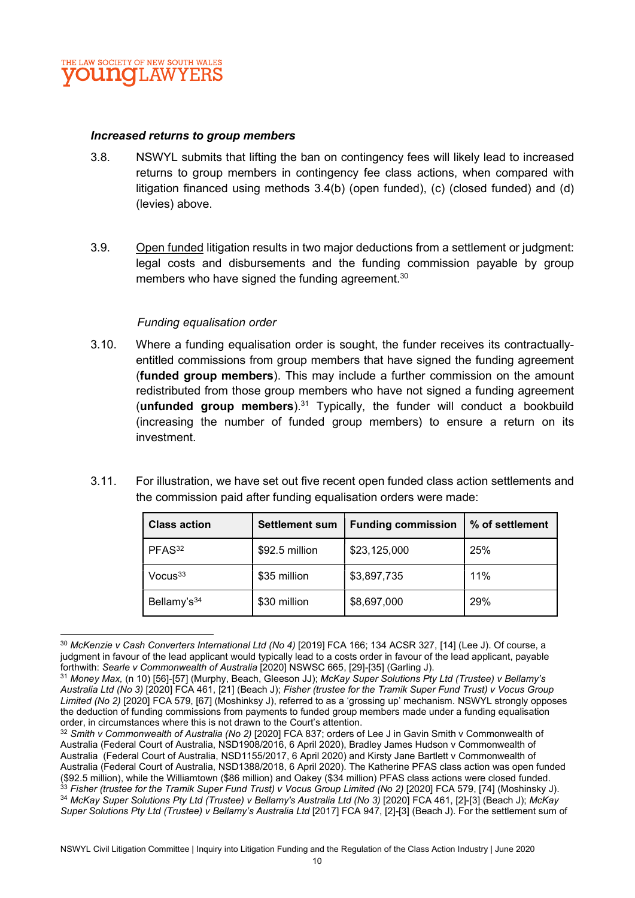

#### Increased returns to group members

- 3.8. NSWYL submits that lifting the ban on contingency fees will likely lead to increased returns to group members in contingency fee class actions, when compared with litigation financed using methods 3.4(b) (open funded), (c) (closed funded) and (d) (levies) above.
- 3.9. Open funded litigation results in two major deductions from a settlement or judgment: legal costs and disbursements and the funding commission payable by group members who have signed the funding agreement.<sup>30</sup>

#### Funding equalisation order

- 3.10. Where a funding equalisation order is sought, the funder receives its contractuallyentitled commissions from group members that have signed the funding agreement (funded group members). This may include a further commission on the amount redistributed from those group members who have not signed a funding agreement (unfunded group members).<sup>31</sup> Typically, the funder will conduct a bookbuild (increasing the number of funded group members) to ensure a return on its investment.
- 3.11. For illustration, we have set out five recent open funded class action settlements and the commission paid after funding equalisation orders were made:

| <b>Class action</b>     | <b>Settlement sum</b> | <b>Funding commission</b> | % of settlement |
|-------------------------|-----------------------|---------------------------|-----------------|
| PFAS <sup>32</sup>      | \$92.5 million        | \$23,125,000              | 25%             |
| $V$ ocus $33$           | \$35 million          | \$3,897,735               | 11%             |
| Bellamy's <sup>34</sup> | \$30 million          | \$8,697,000               | 29%             |

<sup>&</sup>lt;sup>30</sup> McKenzie v Cash Converters International Ltd (No 4) [2019] FCA 166; 134 ACSR 327, [14] (Lee J). Of course, a judgment in favour of the lead applicant would typically lead to a costs order in favour of the lead applicant, payable forthwith: Searle v Commonwealth of Australia [2020] NSWSC 665, [29]-[35] (Garling J).

<sup>31</sup> Money Max, (n 10) [56]-[57] (Murphy, Beach, Gleeson JJ); McKay Super Solutions Pty Ltd (Trustee) v Bellamy's Australia Ltd (No 3) [2020] FCA 461, [21] (Beach J); Fisher (trustee for the Tramik Super Fund Trust) v Vocus Group Limited (No 2) [2020] FCA 579, [67] (Moshinksy J), referred to as a 'grossing up' mechanism. NSWYL strongly opposes the deduction of funding commissions from payments to funded group members made under a funding equalisation order, in circumstances where this is not drawn to the Court's attention.

<sup>32</sup> Smith v Commonwealth of Australia (No 2) [2020] FCA 837; orders of Lee J in Gavin Smith v Commonwealth of Australia (Federal Court of Australia, NSD1908/2016, 6 April 2020), Bradley James Hudson v Commonwealth of Australia (Federal Court of Australia, NSD1155/2017, 6 April 2020) and Kirsty Jane Bartlett v Commonwealth of Australia (Federal Court of Australia, NSD1388/2018, 6 April 2020). The Katherine PFAS class action was open funded (\$92.5 million), while the Williamtown (\$86 million) and Oakey (\$34 million) PFAS class actions were closed funded.  $33$  Fisher (trustee for the Tramik Super Fund Trust) v Vocus Group Limited (No 2) [2020] FCA 579, [74] (Moshinsky J). 34 McKay Super Solutions Pty Ltd (Trustee) v Bellamy's Australia Ltd (No 3) [2020] FCA 461, [2]-[3] (Beach J); McKay Super Solutions Pty Ltd (Trustee) v Bellamy's Australia Ltd [2017] FCA 947, [2]-[3] (Beach J). For the settlement sum of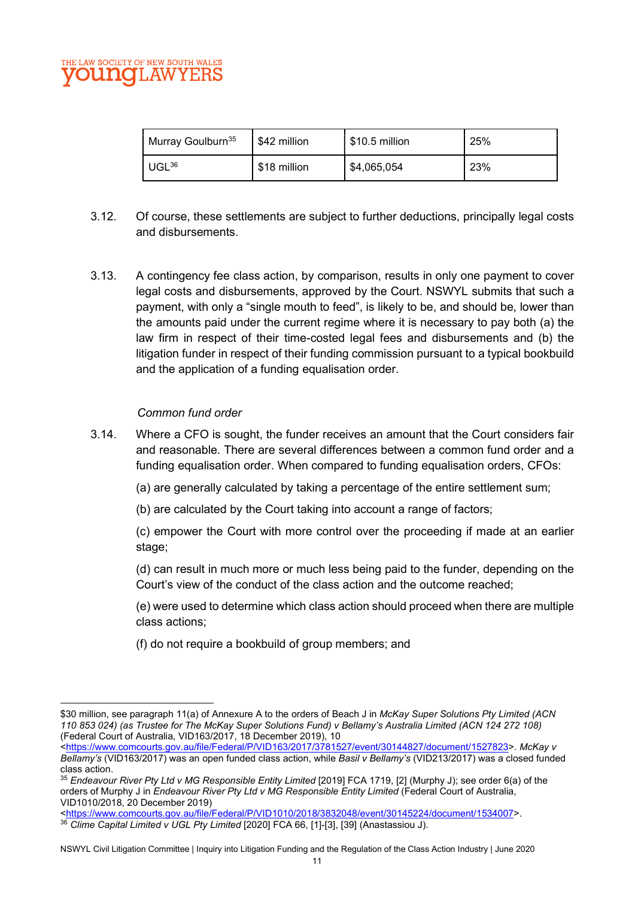#### LAW SOCIETY OF NEW SOUTH WALES **UNOLAW**

| Murray Goulburn <sup>35</sup> | \$42 million | $$10.5$ million | 25% |
|-------------------------------|--------------|-----------------|-----|
| $UGL^{36}$                    | \$18 million | \$4,065,054     | 23% |

- 3.12. Of course, these settlements are subject to further deductions, principally legal costs and disbursements.
- 3.13. A contingency fee class action, by comparison, results in only one payment to cover legal costs and disbursements, approved by the Court. NSWYL submits that such a payment, with only a "single mouth to feed", is likely to be, and should be, lower than the amounts paid under the current regime where it is necessary to pay both (a) the law firm in respect of their time-costed legal fees and disbursements and (b) the litigation funder in respect of their funding commission pursuant to a typical bookbuild and the application of a funding equalisation order.

#### Common fund order

- 3.14. Where a CFO is sought, the funder receives an amount that the Court considers fair and reasonable. There are several differences between a common fund order and a funding equalisation order. When compared to funding equalisation orders, CFOs:
	- (a) are generally calculated by taking a percentage of the entire settlement sum;
	- (b) are calculated by the Court taking into account a range of factors;
	- (c) empower the Court with more control over the proceeding if made at an earlier stage;
	- (d) can result in much more or much less being paid to the funder, depending on the Court's view of the conduct of the class action and the outcome reached;
	- (e) were used to determine which class action should proceed when there are multiple class actions;
	- (f) do not require a bookbuild of group members; and

<sup>\$30</sup> million, see paragraph 11(a) of Annexure A to the orders of Beach J in McKay Super Solutions Pty Limited (ACN 110 853 024) (as Trustee for The McKay Super Solutions Fund) v Bellamy's Australia Limited (ACN 124 272 108) (Federal Court of Australia, VID163/2017, 18 December 2019), 10

<sup>&</sup>lt;https://www.comcourts.gov.au/file/Federal/P/VID163/2017/3781527/event/30144827/document/1527823>. McKay v Bellamy's (VID163/2017) was an open funded class action, while Basil v Bellamy's (VID213/2017) was a closed funded class action.

<sup>35</sup> Endeavour River Pty Ltd v MG Responsible Entity Limited [2019] FCA 1719, [2] (Murphy J); see order 6(a) of the orders of Murphy J in Endeavour River Pty Ltd v MG Responsible Entity Limited (Federal Court of Australia, VID1010/2018, 20 December 2019)

<sup>&</sup>lt;https://www.comcourts.gov.au/file/Federal/P/VID1010/2018/3832048/event/30145224/document/1534007>. 36 Clime Capital Limited v UGL Pty Limited [2020] FCA 66, [1]-[3], [39] (Anastassiou J).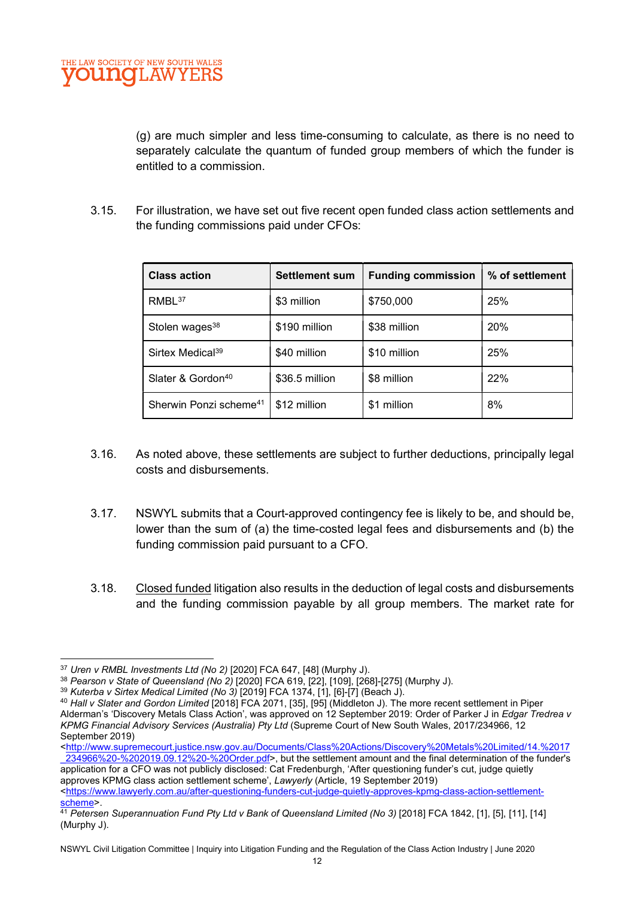(g) are much simpler and less time-consuming to calculate, as there is no need to separately calculate the quantum of funded group members of which the funder is entitled to a commission.

3.15. For illustration, we have set out five recent open funded class action settlements and the funding commissions paid under CFOs:

| <b>Class action</b>                | <b>Settlement sum</b> | <b>Funding commission</b> | % of settlement |
|------------------------------------|-----------------------|---------------------------|-----------------|
| RMBL <sup>37</sup>                 | \$3 million           | \$750,000                 | 25%             |
| Stolen wages <sup>38</sup>         | \$190 million         | \$38 million              | 20%             |
| Sirtex Medical <sup>39</sup>       | \$40 million          | \$10 million              | 25%             |
| Slater & Gordon <sup>40</sup>      | \$36.5 million        | \$8 million               | 22%             |
| Sherwin Ponzi scheme <sup>41</sup> | \$12 million          | \$1 million               | 8%              |

- 3.16. As noted above, these settlements are subject to further deductions, principally legal costs and disbursements.
- 3.17. NSWYL submits that a Court-approved contingency fee is likely to be, and should be, lower than the sum of (a) the time-costed legal fees and disbursements and (b) the funding commission paid pursuant to a CFO.
- 3.18. Closed funded litigation also results in the deduction of legal costs and disbursements and the funding commission payable by all group members. The market rate for

<sup>37</sup> Uren v RMBL Investments Ltd (No 2) [2020] FCA 647, [48] (Murphy J).

<sup>38</sup> Pearson v State of Queensland (No 2) [2020] FCA 619, [22], [109], [268]-[275] (Murphy J).

<sup>39</sup> Kuterba v Sirtex Medical Limited (No 3) [2019] FCA 1374, [1], [6]-[7] (Beach J).

<sup>&</sup>lt;sup>40</sup> Hall v Slater and Gordon Limited [2018] FCA 2071, [35], [95] (Middleton J). The more recent settlement in Piper

Alderman's 'Discovery Metals Class Action', was approved on 12 September 2019: Order of Parker J in Edgar Tredrea v KPMG Financial Advisory Services (Australia) Pty Ltd (Supreme Court of New South Wales, 2017/234966, 12 September 2019)

<sup>&</sup>lt;http://www.supremecourt.justice.nsw.gov.au/Documents/Class%20Actions/Discovery%20Metals%20Limited/14.%2017 \_234966%20-%202019.09.12%20-%20Order.pdf>, but the settlement amount and the final determination of the funder's application for a CFO was not publicly disclosed: Cat Fredenburgh, 'After questioning funder's cut, judge quietly

approves KPMG class action settlement scheme', Lawyerly (Article, 19 September 2019) <https://www.lawyerly.com.au/after-questioning-funders-cut-judge-quietly-approves-kpmg-class-action-settlementscheme>.

<sup>&</sup>lt;sup>41</sup> Petersen Superannuation Fund Pty Ltd v Bank of Queensland Limited (No 3) [2018] FCA 1842, [1], [5], [11], [14] (Murphy J).

NSWYL Civil Litigation Committee | Inquiry into Litigation Funding and the Regulation of the Class Action Industry | June 2020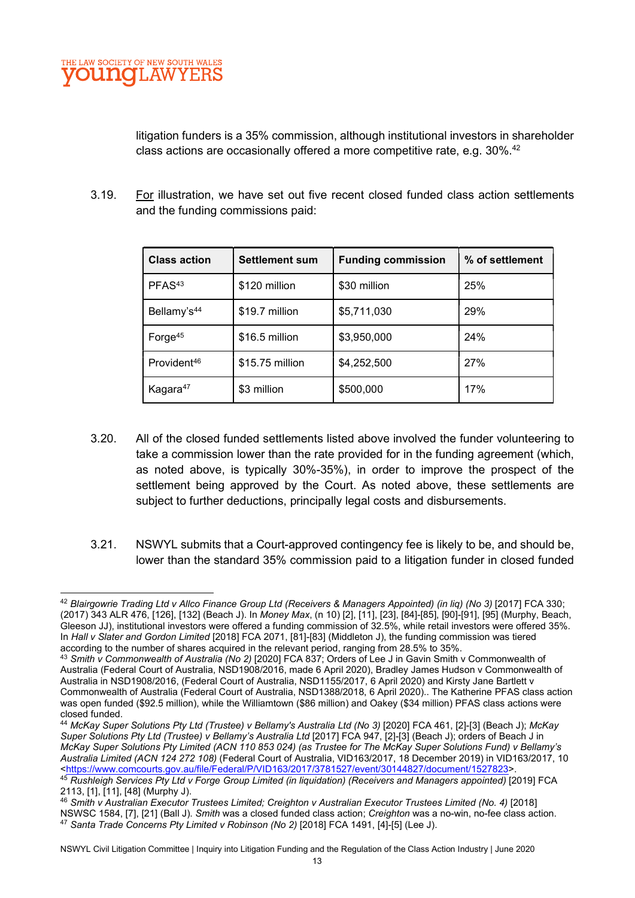litigation funders is a 35% commission, although institutional investors in shareholder class actions are occasionally offered a more competitive rate, e.g.  $30\%$ .<sup>42</sup>

3.19. For illustration, we have set out five recent closed funded class action settlements and the funding commissions paid:

| <b>Class action</b>     | <b>Settlement sum</b> | <b>Funding commission</b> | % of settlement |
|-------------------------|-----------------------|---------------------------|-----------------|
| PFAS <sup>43</sup>      | \$120 million         | \$30 million              | 25%             |
| Bellamy's <sup>44</sup> | \$19.7 million        | \$5,711,030               | 29%             |
| Forge <sup>45</sup>     | \$16.5 million        | \$3,950,000               | 24%             |
| Provident <sup>46</sup> | \$15.75 million       | \$4,252,500               | 27%             |
| Kagara <sup>47</sup>    | \$3 million           | \$500,000                 | 17%             |

- 3.20. All of the closed funded settlements listed above involved the funder volunteering to take a commission lower than the rate provided for in the funding agreement (which, as noted above, is typically 30%-35%), in order to improve the prospect of the settlement being approved by the Court. As noted above, these settlements are subject to further deductions, principally legal costs and disbursements.
- 3.21. NSWYL submits that a Court-approved contingency fee is likely to be, and should be, lower than the standard 35% commission paid to a litigation funder in closed funded

<sup>44</sup> McKay Super Solutions Pty Ltd (Trustee) v Bellamy's Australia Ltd (No 3) [2020] FCA 461, [2]-[3] (Beach J); McKay Super Solutions Pty Ltd (Trustee) v Bellamy's Australia Ltd [2017] FCA 947, [2]-[3] (Beach J); orders of Beach J in McKay Super Solutions Pty Limited (ACN 110 853 024) (as Trustee for The McKay Super Solutions Fund) v Bellamy's Australia Limited (ACN 124 272 108) (Federal Court of Australia, VID163/2017, 18 December 2019) in VID163/2017, 10 <https://www.comcourts.gov.au/file/Federal/P/VID163/2017/3781527/event/30144827/document/1527823>. 45 Rushleigh Services Pty Ltd v Forge Group Limited (in liquidation) (Receivers and Managers appointed) [2019] FCA 2113, [1], [11], [48] (Murphy J).

<sup>42</sup> Blairgowrie Trading Ltd v Allco Finance Group Ltd (Receivers & Managers Appointed) (in liq) (No 3) [2017] FCA 330; (2017) 343 ALR 476, [126], [132] (Beach J). In Money Max, (n 10) [2], [11], [23], [84]-[85], [90]-[91], [95] (Murphy, Beach, Gleeson JJ), institutional investors were offered a funding commission of 32.5%, while retail investors were offered 35%. In Hall v Slater and Gordon Limited [2018] FCA 2071, [81]-[83] (Middleton J), the funding commission was tiered according to the number of shares acquired in the relevant period, ranging from 28.5% to 35%.

<sup>43</sup> Smith v Commonwealth of Australia (No 2) [2020] FCA 837; Orders of Lee J in Gavin Smith v Commonwealth of Australia (Federal Court of Australia, NSD1908/2016, made 6 April 2020), Bradley James Hudson v Commonwealth of Australia in NSD1908/2016, (Federal Court of Australia, NSD1155/2017, 6 April 2020) and Kirsty Jane Bartlett v Commonwealth of Australia (Federal Court of Australia, NSD1388/2018, 6 April 2020).. The Katherine PFAS class action was open funded (\$92.5 million), while the Williamtown (\$86 million) and Oakey (\$34 million) PFAS class actions were closed funded.

<sup>46</sup> Smith v Australian Executor Trustees Limited; Creighton v Australian Executor Trustees Limited (No. 4) [2018] NSWSC 1584, [7], [21] (Ball J). Smith was a closed funded class action; Creighton was a no-win, no-fee class action.  $47$  Santa Trade Concerns Pty Limited v Robinson (No 2) [2018] FCA 1491, [4]-[5] (Lee J).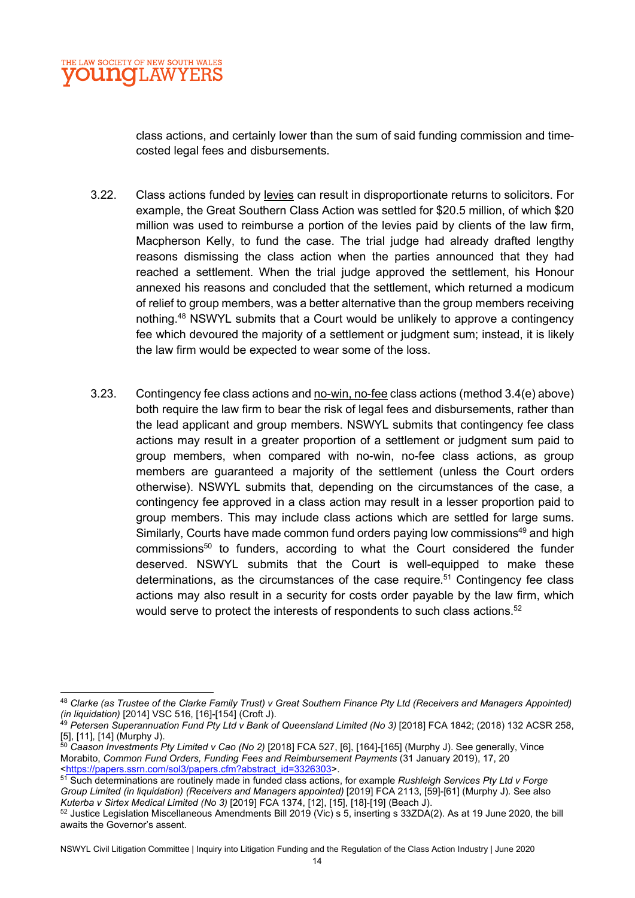class actions, and certainly lower than the sum of said funding commission and timecosted legal fees and disbursements.

- 3.22. Class actions funded by levies can result in disproportionate returns to solicitors. For example, the Great Southern Class Action was settled for \$20.5 million, of which \$20 million was used to reimburse a portion of the levies paid by clients of the law firm, Macpherson Kelly, to fund the case. The trial judge had already drafted lengthy reasons dismissing the class action when the parties announced that they had reached a settlement. When the trial judge approved the settlement, his Honour annexed his reasons and concluded that the settlement, which returned a modicum of relief to group members, was a better alternative than the group members receiving nothing.<sup>48</sup> NSWYL submits that a Court would be unlikely to approve a contingency fee which devoured the majority of a settlement or judgment sum; instead, it is likely the law firm would be expected to wear some of the loss.
- 3.23. Contingency fee class actions and no-win, no-fee class actions (method 3.4(e) above) both require the law firm to bear the risk of legal fees and disbursements, rather than the lead applicant and group members. NSWYL submits that contingency fee class actions may result in a greater proportion of a settlement or judgment sum paid to group members, when compared with no-win, no-fee class actions, as group members are guaranteed a majority of the settlement (unless the Court orders otherwise). NSWYL submits that, depending on the circumstances of the case, a contingency fee approved in a class action may result in a lesser proportion paid to group members. This may include class actions which are settled for large sums. Similarly, Courts have made common fund orders paying low commissions<sup>49</sup> and high commissions<sup>50</sup> to funders, according to what the Court considered the funder deserved. NSWYL submits that the Court is well-equipped to make these determinations, as the circumstances of the case require.<sup>51</sup> Contingency fee class actions may also result in a security for costs order payable by the law firm, which would serve to protect the interests of respondents to such class actions. $52$

<sup>48</sup> Clarke (as Trustee of the Clarke Family Trust) v Great Southern Finance Pty Ltd (Receivers and Managers Appointed) (in liquidation) [2014] VSC 516, [16]-[154] (Croft J).

<sup>&</sup>lt;sup>49</sup> Petersen Superannuation Fund Pty Ltd v Bank of Queensland Limited (No 3) [2018] FCA 1842; (2018) 132 ACSR 258, [5], [11], [14] (Murphy J).

 $^{50}$  Caason Investments Pty Limited v Cao (No 2) [2018] FCA 527, [6], [164]-[165] (Murphy J). See generally, Vince Morabito, Common Fund Orders, Funding Fees and Reimbursement Payments (31 January 2019), 17, 20 <https://papers.ssrn.com/sol3/papers.cfm?abstract\_id=3326303>.

<sup>51</sup> Such determinations are routinely made in funded class actions, for example Rushleigh Services Pty Ltd v Forge Group Limited (in liquidation) (Receivers and Managers appointed) [2019] FCA 2113, [59]-[61] (Murphy J). See also Kuterba v Sirtex Medical Limited (No 3) [2019] FCA 1374, [12], [15], [18]-[19] (Beach J).

<sup>52</sup> Justice Legislation Miscellaneous Amendments Bill 2019 (Vic) s 5, inserting s 33ZDA(2). As at 19 June 2020, the bill awaits the Governor's assent.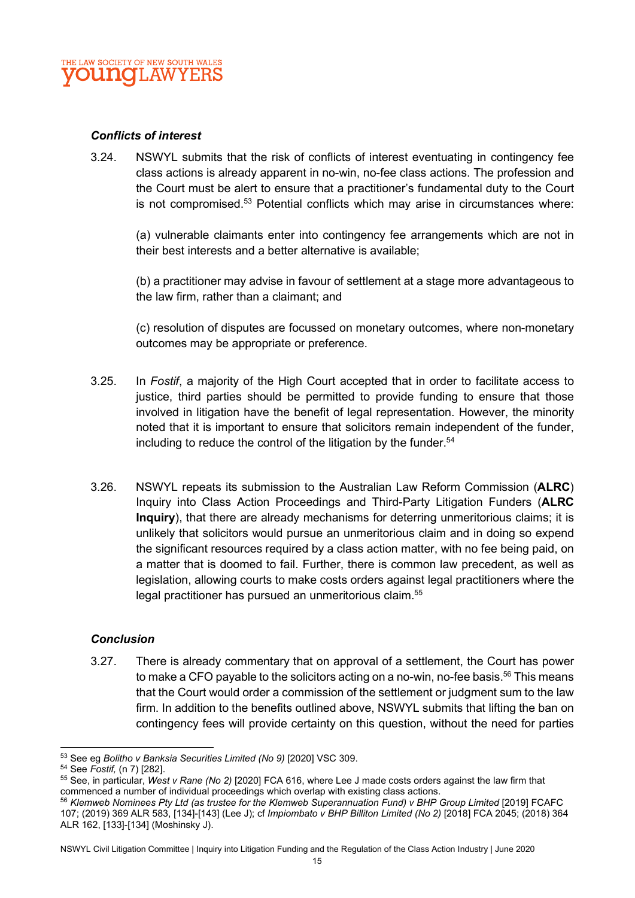

#### Conflicts of interest

3.24. NSWYL submits that the risk of conflicts of interest eventuating in contingency fee class actions is already apparent in no-win, no-fee class actions. The profession and the Court must be alert to ensure that a practitioner's fundamental duty to the Court is not compromised.<sup>53</sup> Potential conflicts which may arise in circumstances where:

(a) vulnerable claimants enter into contingency fee arrangements which are not in their best interests and a better alternative is available;

(b) a practitioner may advise in favour of settlement at a stage more advantageous to the law firm, rather than a claimant; and

(c) resolution of disputes are focussed on monetary outcomes, where non-monetary outcomes may be appropriate or preference.

- 3.25. In Fostif, a majority of the High Court accepted that in order to facilitate access to justice, third parties should be permitted to provide funding to ensure that those involved in litigation have the benefit of legal representation. However, the minority noted that it is important to ensure that solicitors remain independent of the funder, including to reduce the control of the litigation by the funder.<sup>54</sup>
- 3.26. NSWYL repeats its submission to the Australian Law Reform Commission (ALRC) Inquiry into Class Action Proceedings and Third-Party Litigation Funders (ALRC Inquiry), that there are already mechanisms for deterring unmeritorious claims; it is unlikely that solicitors would pursue an unmeritorious claim and in doing so expend the significant resources required by a class action matter, with no fee being paid, on a matter that is doomed to fail. Further, there is common law precedent, as well as legislation, allowing courts to make costs orders against legal practitioners where the legal practitioner has pursued an unmeritorious claim.<sup>55</sup>

#### **Conclusion**

3.27. There is already commentary that on approval of a settlement, the Court has power to make a CFO payable to the solicitors acting on a no-win, no-fee basis.<sup>56</sup> This means that the Court would order a commission of the settlement or judgment sum to the law firm. In addition to the benefits outlined above, NSWYL submits that lifting the ban on contingency fees will provide certainty on this question, without the need for parties

<sup>53</sup> See eg Bolitho v Banksia Securities Limited (No 9) [2020] VSC 309.

<sup>54</sup> See Fostif, (n 7) [282].

<sup>55</sup> See, in particular, West v Rane (No 2) [2020] FCA 616, where Lee J made costs orders against the law firm that commenced a number of individual proceedings which overlap with existing class actions.

<sup>56</sup> Klemweb Nominees Pty Ltd (as trustee for the Klemweb Superannuation Fund) v BHP Group Limited [2019] FCAFC 107; (2019) 369 ALR 583, [134]-[143] (Lee J); cf Impiombato v BHP Billiton Limited (No 2) [2018] FCA 2045; (2018) 364 ALR 162, [133]-[134] (Moshinsky J).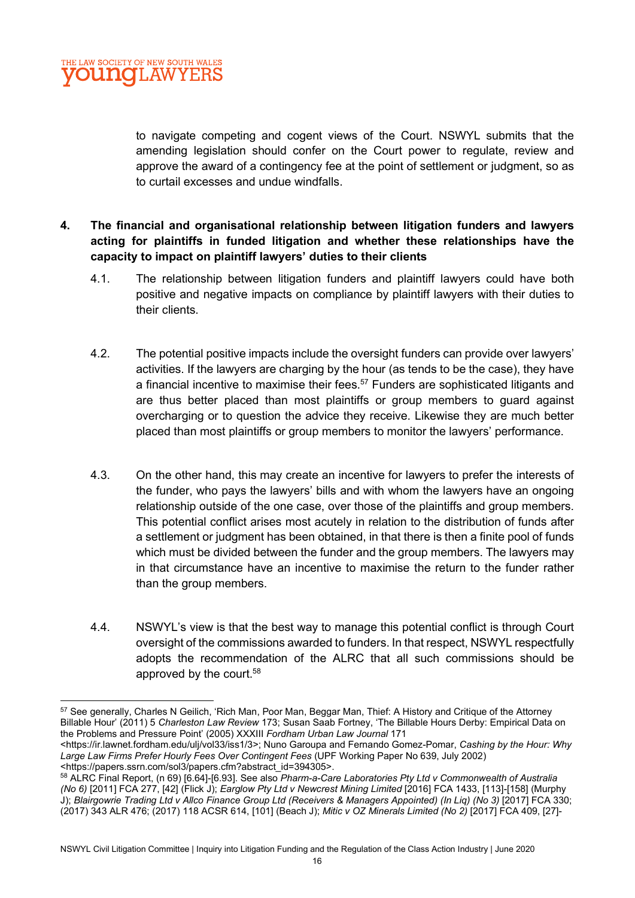to navigate competing and cogent views of the Court. NSWYL submits that the amending legislation should confer on the Court power to regulate, review and approve the award of a contingency fee at the point of settlement or judgment, so as to curtail excesses and undue windfalls.

## 4. The financial and organisational relationship between litigation funders and lawyers acting for plaintiffs in funded litigation and whether these relationships have the capacity to impact on plaintiff lawyers' duties to their clients

- 4.1. The relationship between litigation funders and plaintiff lawyers could have both positive and negative impacts on compliance by plaintiff lawyers with their duties to their clients.
- 4.2. The potential positive impacts include the oversight funders can provide over lawyers' activities. If the lawyers are charging by the hour (as tends to be the case), they have a financial incentive to maximise their fees.<sup>57</sup> Funders are sophisticated litigants and are thus better placed than most plaintiffs or group members to guard against overcharging or to question the advice they receive. Likewise they are much better placed than most plaintiffs or group members to monitor the lawyers' performance.
- 4.3. On the other hand, this may create an incentive for lawyers to prefer the interests of the funder, who pays the lawyers' bills and with whom the lawyers have an ongoing relationship outside of the one case, over those of the plaintiffs and group members. This potential conflict arises most acutely in relation to the distribution of funds after a settlement or judgment has been obtained, in that there is then a finite pool of funds which must be divided between the funder and the group members. The lawyers may in that circumstance have an incentive to maximise the return to the funder rather than the group members.
- 4.4. NSWYL's view is that the best way to manage this potential conflict is through Court oversight of the commissions awarded to funders. In that respect, NSWYL respectfully adopts the recommendation of the ALRC that all such commissions should be approved by the court.<sup>58</sup>

<sup>57</sup> See generally, Charles N Geilich, 'Rich Man, Poor Man, Beggar Man, Thief: A History and Critique of the Attorney Billable Hour' (2011) 5 Charleston Law Review 173; Susan Saab Fortney, 'The Billable Hours Derby: Empirical Data on the Problems and Pressure Point' (2005) XXXIII Fordham Urban Law Journal 171

<sup>&</sup>lt;https://ir.lawnet.fordham.edu/ulj/vol33/iss1/3>; Nuno Garoupa and Fernando Gomez-Pomar, Cashing by the Hour: Why Large Law Firms Prefer Hourly Fees Over Contingent Fees (UPF Working Paper No 639, July 2002) <https://papers.ssrn.com/sol3/papers.cfm?abstract\_id=394305>.

<sup>58</sup> ALRC Final Report, (n 69) [6.64]-[6.93]. See also Pharm-a-Care Laboratories Pty Ltd v Commonwealth of Australia (No 6) [2011] FCA 277, [42] (Flick J); Earglow Pty Ltd v Newcrest Mining Limited [2016] FCA 1433, [113]-[158] (Murphy J); Blairgowrie Trading Ltd v Allco Finance Group Ltd (Receivers & Managers Appointed) (In Liq) (No 3) [2017] FCA 330; (2017) 343 ALR 476; (2017) 118 ACSR 614, [101] (Beach J); Mitic v OZ Minerals Limited (No 2) [2017] FCA 409, [27]-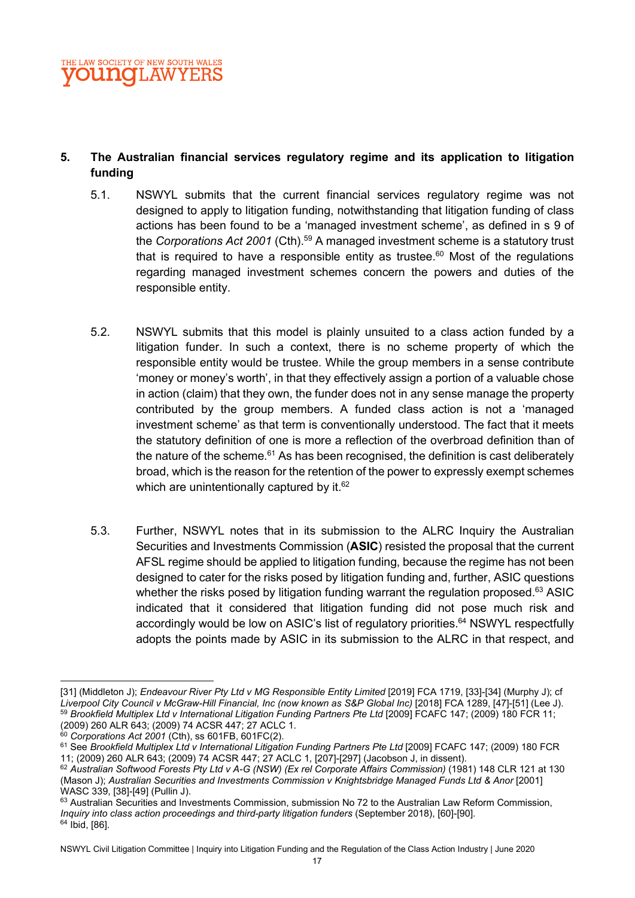### 5. The Australian financial services regulatory regime and its application to litigation funding

- 5.1. NSWYL submits that the current financial services regulatory regime was not designed to apply to litigation funding, notwithstanding that litigation funding of class actions has been found to be a 'managed investment scheme', as defined in s 9 of the Corporations Act 2001 (Cth).<sup>59</sup> A managed investment scheme is a statutory trust that is required to have a responsible entity as trustee.<sup>60</sup> Most of the requilations regarding managed investment schemes concern the powers and duties of the responsible entity.
- 5.2. NSWYL submits that this model is plainly unsuited to a class action funded by a litigation funder. In such a context, there is no scheme property of which the responsible entity would be trustee. While the group members in a sense contribute 'money or money's worth', in that they effectively assign a portion of a valuable chose in action (claim) that they own, the funder does not in any sense manage the property contributed by the group members. A funded class action is not a 'managed investment scheme' as that term is conventionally understood. The fact that it meets the statutory definition of one is more a reflection of the overbroad definition than of the nature of the scheme. $61$  As has been recognised, the definition is cast deliberately broad, which is the reason for the retention of the power to expressly exempt schemes which are unintentionally captured by it. $62$
- 5.3. Further, NSWYL notes that in its submission to the ALRC Inquiry the Australian Securities and Investments Commission (ASIC) resisted the proposal that the current AFSL regime should be applied to litigation funding, because the regime has not been designed to cater for the risks posed by litigation funding and, further, ASIC questions whether the risks posed by litigation funding warrant the regulation proposed.<sup>63</sup> ASIC indicated that it considered that litigation funding did not pose much risk and accordingly would be low on ASIC's list of regulatory priorities.<sup>64</sup> NSWYL respectfully adopts the points made by ASIC in its submission to the ALRC in that respect, and

<sup>[31] (</sup>Middleton J); Endeavour River Pty Ltd v MG Responsible Entity Limited [2019] FCA 1719, [33]-[34] (Murphy J); cf Liverpool City Council v McGraw-Hill Financial, Inc (now known as S&P Global Inc) [2018] FCA 1289, [47]-[51] (Lee J). 59 Brookfield Multiplex Ltd v International Litigation Funding Partners Pte Ltd [2009] FCAFC 147; (2009) 180 FCR 11; (2009) 260 ALR 643; (2009) 74 ACSR 447; 27 ACLC 1.

 $60$  Corporations Act 2001 (Cth), ss 601FB, 601FC(2).

<sup>&</sup>lt;sup>61</sup> See Brookfield Multiplex Ltd v International Litigation Funding Partners Pte Ltd [2009] FCAFC 147; (2009) 180 FCR 11; (2009) 260 ALR 643; (2009) 74 ACSR 447; 27 ACLC 1, [207]-[297] (Jacobson J, in dissent).

<sup>62</sup> Australian Softwood Forests Pty Ltd v A-G (NSW) (Ex rel Corporate Affairs Commission) (1981) 148 CLR 121 at 130 (Mason J); Australian Securities and Investments Commission v Knightsbridge Managed Funds Ltd & Anor [2001] WASC 339, [38]-[49] (Pullin J).

<sup>63</sup> Australian Securities and Investments Commission, submission No 72 to the Australian Law Reform Commission, Inquiry into class action proceedings and third-party litigation funders (September 2018), [60]-[90]. 64 Ibid, [86].

NSWYL Civil Litigation Committee | Inquiry into Litigation Funding and the Regulation of the Class Action Industry | June 2020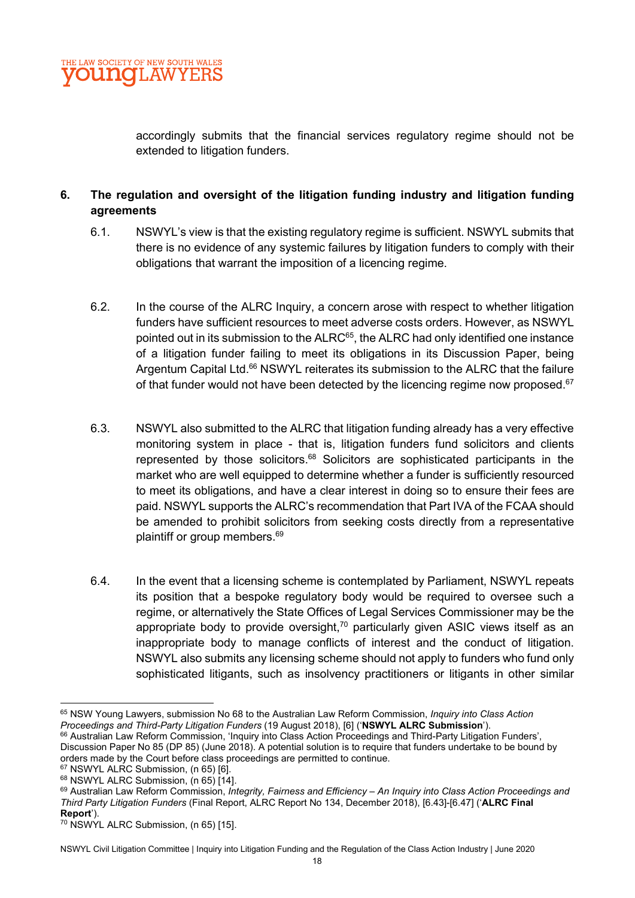

accordingly submits that the financial services regulatory regime should not be extended to litigation funders.

#### 6. The regulation and oversight of the litigation funding industry and litigation funding agreements

- 6.1. NSWYL's view is that the existing regulatory regime is sufficient. NSWYL submits that there is no evidence of any systemic failures by litigation funders to comply with their obligations that warrant the imposition of a licencing regime.
- 6.2. In the course of the ALRC Inquiry, a concern arose with respect to whether litigation funders have sufficient resources to meet adverse costs orders. However, as NSWYL pointed out in its submission to the ALRC<sup>65</sup>, the ALRC had only identified one instance of a litigation funder failing to meet its obligations in its Discussion Paper, being Argentum Capital Ltd.<sup>66</sup> NSWYL reiterates its submission to the ALRC that the failure of that funder would not have been detected by the licencing regime now proposed.<sup>67</sup>
- 6.3. NSWYL also submitted to the ALRC that litigation funding already has a very effective monitoring system in place - that is, litigation funders fund solicitors and clients represented by those solicitors.<sup>68</sup> Solicitors are sophisticated participants in the market who are well equipped to determine whether a funder is sufficiently resourced to meet its obligations, and have a clear interest in doing so to ensure their fees are paid. NSWYL supports the ALRC's recommendation that Part IVA of the FCAA should be amended to prohibit solicitors from seeking costs directly from a representative plaintiff or group members.<sup>69</sup>
- 6.4. In the event that a licensing scheme is contemplated by Parliament, NSWYL repeats its position that a bespoke regulatory body would be required to oversee such a regime, or alternatively the State Offices of Legal Services Commissioner may be the appropriate body to provide oversight, $70$  particularly given ASIC views itself as an inappropriate body to manage conflicts of interest and the conduct of litigation. NSWYL also submits any licensing scheme should not apply to funders who fund only sophisticated litigants, such as insolvency practitioners or litigants in other similar

<sup>65</sup> NSW Young Lawyers, submission No 68 to the Australian Law Reform Commission, Inquiry into Class Action Proceedings and Third-Party Litigation Funders (19 August 2018), [6] ('NSWYL ALRC Submission'). <sup>66</sup> Australian Law Reform Commission, 'Inquiry into Class Action Proceedings and Third-Party Litigation Funders',

Discussion Paper No 85 (DP 85) (June 2018). A potential solution is to require that funders undertake to be bound by orders made by the Court before class proceedings are permitted to continue.

<sup>67</sup> NSWYL ALRC Submission, (n 65) [6].

<sup>68</sup> NSWYL ALRC Submission, (n 65) [14].

<sup>69</sup> Australian Law Reform Commission, Integrity, Fairness and Efficiency - An Inquiry into Class Action Proceedings and Third Party Litigation Funders (Final Report, ALRC Report No 134, December 2018), [6.43]-[6.47] ('ALRC Final Report').

<sup>70</sup> NSWYL ALRC Submission, (n 65) [15].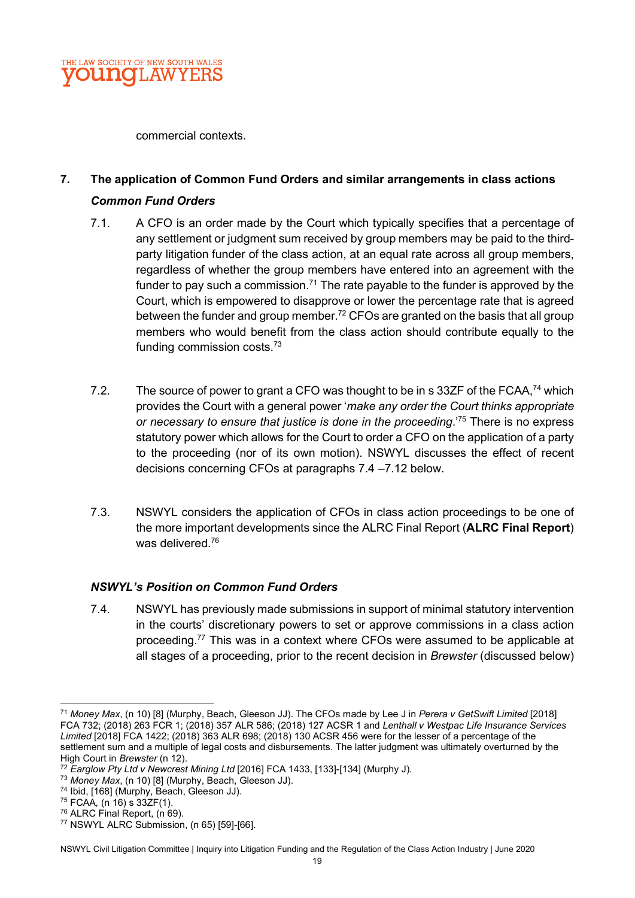

commercial contexts.

# 7. The application of Common Fund Orders and similar arrangements in class actions Common Fund Orders

- 7.1. A CFO is an order made by the Court which typically specifies that a percentage of any settlement or judgment sum received by group members may be paid to the thirdparty litigation funder of the class action, at an equal rate across all group members, regardless of whether the group members have entered into an agreement with the funder to pay such a commission.<sup>71</sup> The rate payable to the funder is approved by the Court, which is empowered to disapprove or lower the percentage rate that is agreed between the funder and group member.<sup>72</sup> CFOs are granted on the basis that all group members who would benefit from the class action should contribute equally to the funding commission costs.<sup>73</sup>
- 7.2. The source of power to grant a CFO was thought to be in s 33ZF of the FCAA,<sup>74</sup> which provides the Court with a general power 'make any order the Court thinks appropriate or necessary to ensure that justice is done in the proceeding.<sup>75</sup> There is no express statutory power which allows for the Court to order a CFO on the application of a party to the proceeding (nor of its own motion). NSWYL discusses the effect of recent decisions concerning CFOs at paragraphs 7.4 –7.12 below.
- 7.3. NSWYL considers the application of CFOs in class action proceedings to be one of the more important developments since the ALRC Final Report (ALRC Final Report) was delivered.<sup>76</sup>

#### NSWYL's Position on Common Fund Orders

7.4. NSWYL has previously made submissions in support of minimal statutory intervention in the courts' discretionary powers to set or approve commissions in a class action proceeding.<sup>77</sup> This was in a context where CFOs were assumed to be applicable at all stages of a proceeding, prior to the recent decision in Brewster (discussed below)

- <sup>74</sup> Ibid, [168] (Murphy, Beach, Gleeson JJ).
- <sup>75</sup> FCAA, (n 16) s 33ZF(1).

<sup>&</sup>lt;sup>71</sup> Money Max, (n 10) [8] (Murphy, Beach, Gleeson JJ). The CFOs made by Lee J in Perera v GetSwift Limited [2018] FCA 732; (2018) 263 FCR 1; (2018) 357 ALR 586; (2018) 127 ACSR 1 and Lenthall v Westpac Life Insurance Services Limited [2018] FCA 1422; (2018) 363 ALR 698; (2018) 130 ACSR 456 were for the lesser of a percentage of the settlement sum and a multiple of legal costs and disbursements. The latter judgment was ultimately overturned by the High Court in Brewster (n 12).

 $72$  Earglow Pty Ltd v Newcrest Mining Ltd [2016] FCA 1433, [133]-[134] (Murphy J).

<sup>73</sup> Money Max, (n 10) [8] (Murphy, Beach, Gleeson JJ).

<sup>&</sup>lt;sup>76</sup> ALRC Final Report, (n 69).

<sup>77</sup> NSWYL ALRC Submission, (n 65) [59]-[66].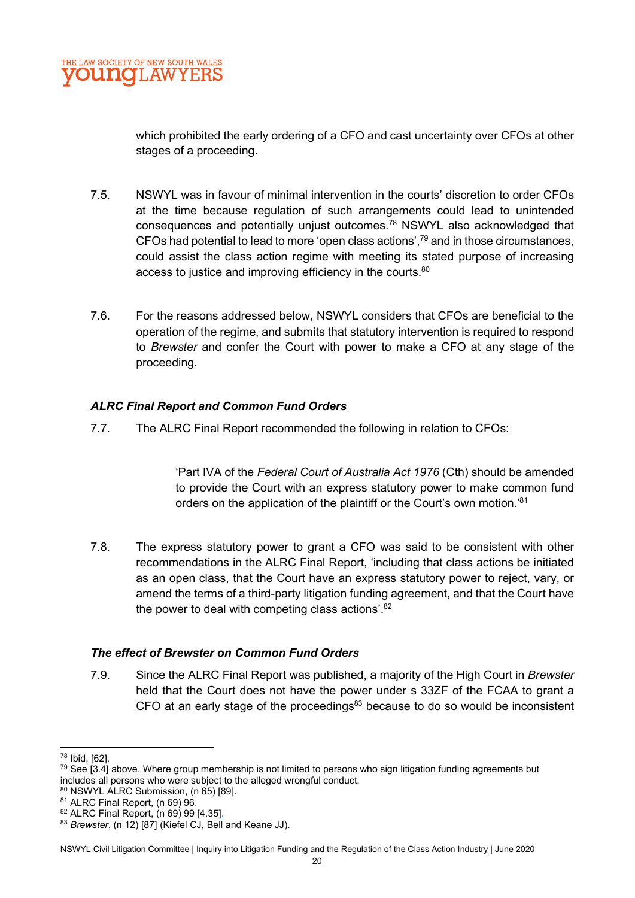which prohibited the early ordering of a CFO and cast uncertainty over CFOs at other stages of a proceeding.

- 7.5. NSWYL was in favour of minimal intervention in the courts' discretion to order CFOs at the time because regulation of such arrangements could lead to unintended consequences and potentially unjust outcomes.<sup>78</sup> NSWYL also acknowledged that CFOs had potential to lead to more 'open class actions', $^{79}$  and in those circumstances, could assist the class action regime with meeting its stated purpose of increasing access to justice and improving efficiency in the courts.<sup>80</sup>
- 7.6. For the reasons addressed below, NSWYL considers that CFOs are beneficial to the operation of the regime, and submits that statutory intervention is required to respond to Brewster and confer the Court with power to make a CFO at any stage of the proceeding.

## ALRC Final Report and Common Fund Orders

7.7. The ALRC Final Report recommended the following in relation to CFOs:

'Part IVA of the Federal Court of Australia Act 1976 (Cth) should be amended to provide the Court with an express statutory power to make common fund orders on the application of the plaintiff or the Court's own motion.<sup>'81</sup>

7.8. The express statutory power to grant a CFO was said to be consistent with other recommendations in the ALRC Final Report, 'including that class actions be initiated as an open class, that the Court have an express statutory power to reject, vary, or amend the terms of a third-party litigation funding agreement, and that the Court have the power to deal with competing class actions'. $82$ 

#### The effect of Brewster on Common Fund Orders

7.9. Since the ALRC Final Report was published, a majority of the High Court in Brewster held that the Court does not have the power under s 33ZF of the FCAA to grant a CFO at an early stage of the proceedings $83$  because to do so would be inconsistent

<sup>78</sup> Ibid, [62].

 $79$  See [3.4] above. Where group membership is not limited to persons who sign litigation funding agreements but includes all persons who were subject to the alleged wrongful conduct.

<sup>80</sup> NSWYL ALRC Submission, (n 65) [89].

<sup>81</sup> ALRC Final Report, (n 69) 96.

<sup>82</sup> ALRC Final Report, (n 69) 99 [4.35].

<sup>83</sup> Brewster, (n 12) [87] (Kiefel CJ, Bell and Keane JJ).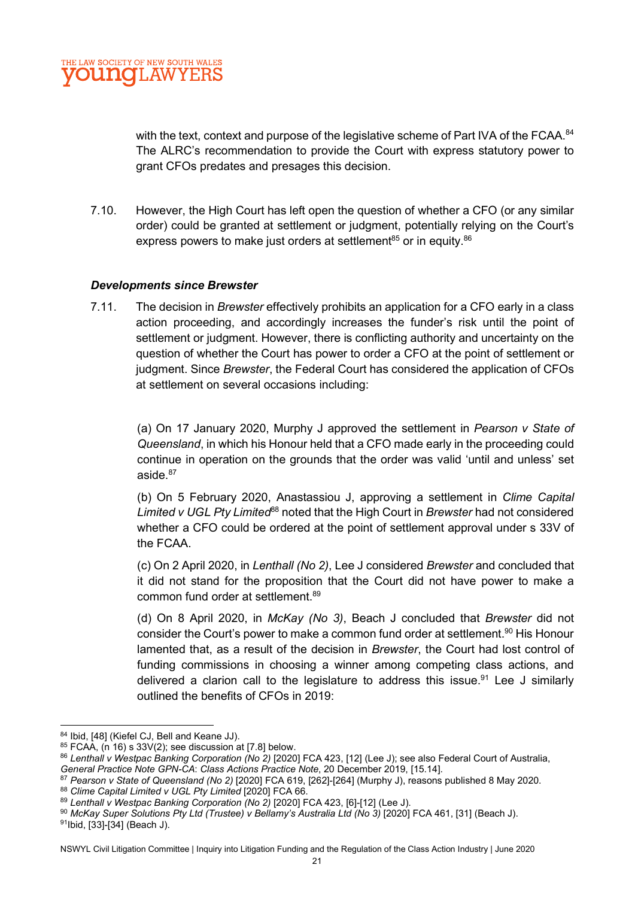with the text, context and purpose of the legislative scheme of Part IVA of the FCAA. <sup>84</sup> The ALRC's recommendation to provide the Court with express statutory power to grant CFOs predates and presages this decision.

7.10. However, the High Court has left open the question of whether a CFO (or any similar order) could be granted at settlement or judgment, potentially relying on the Court's express powers to make just orders at settlement<sup>85</sup> or in equity.  $86$ 

#### Developments since Brewster

7.11. The decision in Brewster effectively prohibits an application for a CFO early in a class action proceeding, and accordingly increases the funder's risk until the point of settlement or judgment. However, there is conflicting authority and uncertainty on the question of whether the Court has power to order a CFO at the point of settlement or judgment. Since Brewster, the Federal Court has considered the application of CFOs at settlement on several occasions including:

(a) On 17 January 2020, Murphy J approved the settlement in Pearson v State of Queensland, in which his Honour held that a CFO made early in the proceeding could continue in operation on the grounds that the order was valid 'until and unless' set aside.<sup>87</sup>

(b) On 5 February 2020, Anastassiou J, approving a settlement in Clime Capital Limited v UGL Pty Limited<sup>68</sup> noted that the High Court in Brewster had not considered whether a CFO could be ordered at the point of settlement approval under s 33V of the FCAA.

(c) On 2 April 2020, in Lenthall (No 2), Lee J considered Brewster and concluded that it did not stand for the proposition that the Court did not have power to make a common fund order at settlement.<sup>89</sup>

(d) On 8 April 2020, in McKay (No 3), Beach J concluded that Brewster did not consider the Court's power to make a common fund order at settlement.<sup>90</sup> His Honour lamented that, as a result of the decision in Brewster, the Court had lost control of funding commissions in choosing a winner among competing class actions, and delivered a clarion call to the legislature to address this issue.<sup>91</sup> Lee J similarly outlined the benefits of CFOs in 2019:

<sup>84</sup> Ibid, [48] (Kiefel CJ, Bell and Keane JJ).

 $85$  FCAA, (n 16) s 33V(2); see discussion at [7.8] below.

<sup>86</sup> Lenthall v Westpac Banking Corporation (No 2) [2020] FCA 423, [12] (Lee J); see also Federal Court of Australia,

General Practice Note GPN-CA: Class Actions Practice Note, 20 December 2019, [15.14].

<sup>87</sup> Pearson v State of Queensland (No 2) [2020] FCA 619, [262]-[264] (Murphy J), reasons published 8 May 2020. 88 Clime Capital Limited v UGL Pty Limited [2020] FCA 66.

<sup>89</sup> Lenthall v Westpac Banking Corporation (No 2) [2020] FCA 423, [6]-[12] (Lee J).

<sup>90</sup> McKay Super Solutions Pty Ltd (Trustee) v Bellamy's Australia Ltd (No 3) [2020] FCA 461, [31] (Beach J).

<sup>91</sup>Ibid, [33]-[34] (Beach J).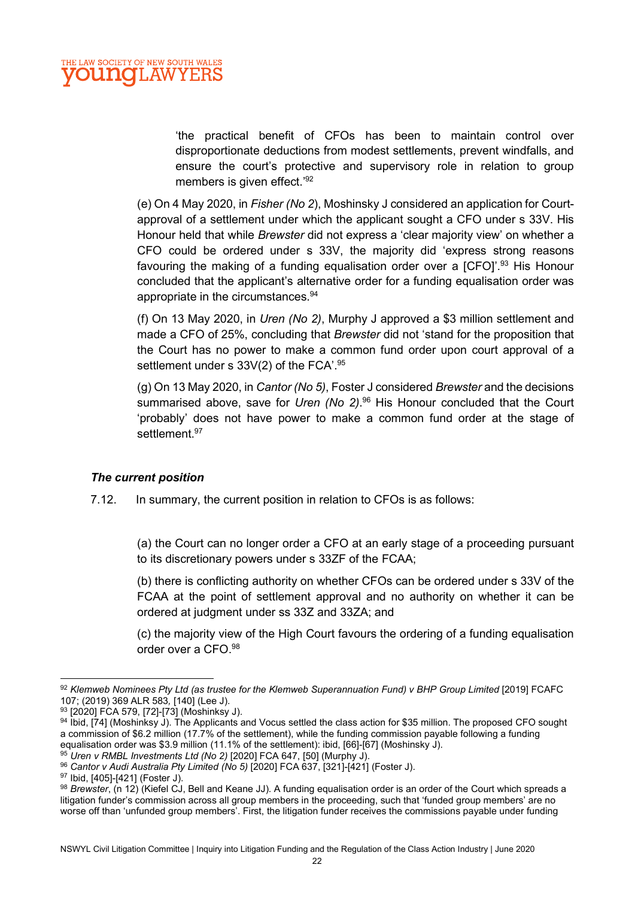'the practical benefit of CFOs has been to maintain control over disproportionate deductions from modest settlements, prevent windfalls, and ensure the court's protective and supervisory role in relation to group members is given effect.'92

(e) On 4 May 2020, in Fisher (No 2), Moshinsky J considered an application for Courtapproval of a settlement under which the applicant sought a CFO under s 33V. His Honour held that while Brewster did not express a 'clear majority view' on whether a CFO could be ordered under s 33V, the majority did 'express strong reasons favouring the making of a funding equalisation order over a [CFO]<sup>'', 93</sup> His Honour concluded that the applicant's alternative order for a funding equalisation order was appropriate in the circumstances.<sup>94</sup>

(f) On 13 May 2020, in Uren (No 2), Murphy J approved a \$3 million settlement and made a CFO of 25%, concluding that Brewster did not 'stand for the proposition that the Court has no power to make a common fund order upon court approval of a settlement under s  $33V(2)$  of the FCA'.<sup>95</sup>

(g) On 13 May 2020, in Cantor (No 5), Foster J considered Brewster and the decisions summarised above, save for Uren (No 2).<sup>96</sup> His Honour concluded that the Court 'probably' does not have power to make a common fund order at the stage of settlement.<sup>97</sup>

#### The current position

7.12. In summary, the current position in relation to CFOs is as follows:

(a) the Court can no longer order a CFO at an early stage of a proceeding pursuant to its discretionary powers under s 33ZF of the FCAA;

(b) there is conflicting authority on whether CFOs can be ordered under s 33V of the FCAA at the point of settlement approval and no authority on whether it can be ordered at judgment under ss 33Z and 33ZA; and

(c) the majority view of the High Court favours the ordering of a funding equalisation order over a CFO.<sup>98</sup>

 $\frac{95}{95}$  Uren v RMBL Investments Ltd (No 2) [2020] FCA 647, [50] (Murphy J).

<sup>92</sup> Klemweb Nominees Pty Ltd (as trustee for the Klemweb Superannuation Fund) v BHP Group Limited [2019] FCAFC 107; (2019) 369 ALR 583, [140] (Lee J).

<sup>93 [2020]</sup> FCA 579, [72]-[73] (Moshinksy J).

<sup>94</sup> Ibid, [74] (Moshinksy J). The Applicants and Vocus settled the class action for \$35 million. The proposed CFO sought a commission of \$6.2 million (17.7% of the settlement), while the funding commission payable following a funding equalisation order was \$3.9 million (11.1% of the settlement): ibid, [66]-[67] (Moshinsky J).

<sup>96</sup> Cantor v Audi Australia Pty Limited (No 5) [2020] FCA 637, [321]-[421] (Foster J).

<sup>97</sup> Ibid, [405]-[421] (Foster J).

 $98$  Brewster, (n 12) (Kiefel CJ, Bell and Keane JJ). A funding equalisation order is an order of the Court which spreads a litigation funder's commission across all group members in the proceeding, such that 'funded group members' are no worse off than 'unfunded group members'. First, the litigation funder receives the commissions payable under funding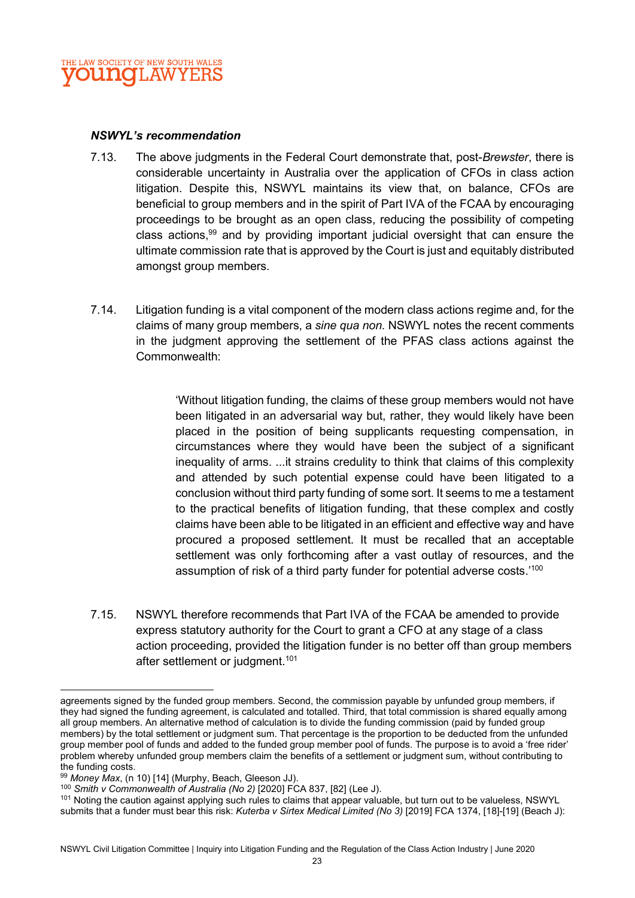

#### NSWYL's recommendation

- 7.13. The above judgments in the Federal Court demonstrate that, post-Brewster, there is considerable uncertainty in Australia over the application of CFOs in class action litigation. Despite this, NSWYL maintains its view that, on balance, CFOs are beneficial to group members and in the spirit of Part IVA of the FCAA by encouraging proceedings to be brought as an open class, reducing the possibility of competing class actions,  $99$  and by providing important judicial oversight that can ensure the ultimate commission rate that is approved by the Court is just and equitably distributed amongst group members.
- 7.14. Litigation funding is a vital component of the modern class actions regime and, for the claims of many group members, a sine qua non. NSWYL notes the recent comments in the judgment approving the settlement of the PFAS class actions against the Commonwealth:

'Without litigation funding, the claims of these group members would not have been litigated in an adversarial way but, rather, they would likely have been placed in the position of being supplicants requesting compensation, in circumstances where they would have been the subject of a significant inequality of arms. ...it strains credulity to think that claims of this complexity and attended by such potential expense could have been litigated to a conclusion without third party funding of some sort. It seems to me a testament to the practical benefits of litigation funding, that these complex and costly claims have been able to be litigated in an efficient and effective way and have procured a proposed settlement. It must be recalled that an acceptable settlement was only forthcoming after a vast outlay of resources, and the assumption of risk of a third party funder for potential adverse costs.'<sup>100</sup>

7.15. NSWYL therefore recommends that Part IVA of the FCAA be amended to provide express statutory authority for the Court to grant a CFO at any stage of a class action proceeding, provided the litigation funder is no better off than group members after settlement or judgment.<sup>101</sup>

agreements signed by the funded group members. Second, the commission payable by unfunded group members, if they had signed the funding agreement, is calculated and totalled. Third, that total commission is shared equally among all group members. An alternative method of calculation is to divide the funding commission (paid by funded group members) by the total settlement or judgment sum. That percentage is the proportion to be deducted from the unfunded group member pool of funds and added to the funded group member pool of funds. The purpose is to avoid a 'free rider' problem whereby unfunded group members claim the benefits of a settlement or judgment sum, without contributing to the funding costs.

 $99$  Money Max, (n 10) [14] (Murphy, Beach, Gleeson JJ).

<sup>&</sup>lt;sup>100</sup> Smith v Commonwealth of Australia (No 2) [2020] FCA 837, [82] (Lee J).

<sup>&</sup>lt;sup>101</sup> Noting the caution against applying such rules to claims that appear valuable, but turn out to be valueless, NSWYL submits that a funder must bear this risk: Kuterba v Sirtex Medical Limited (No 3) [2019] FCA 1374, [18]-[19] (Beach J):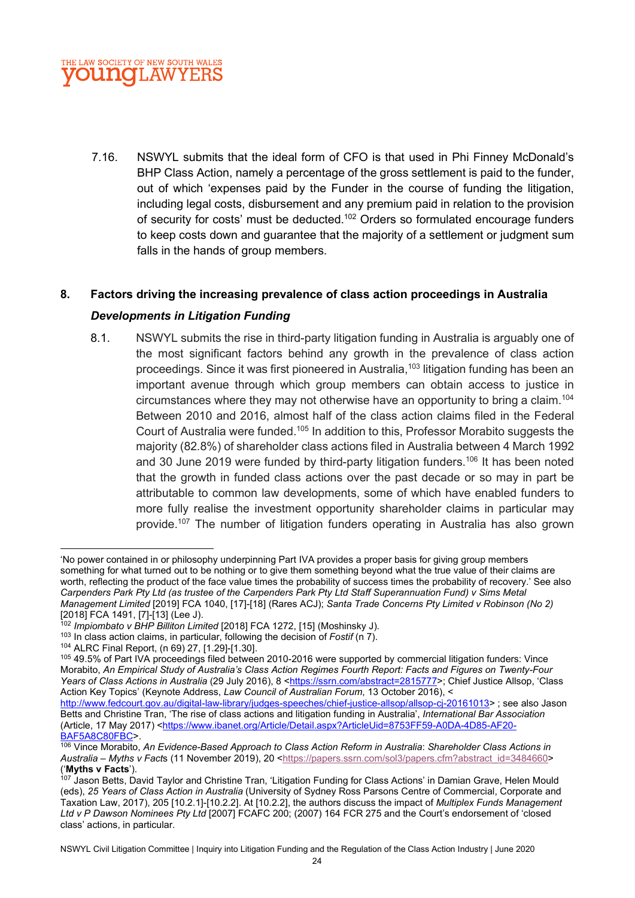

7.16. NSWYL submits that the ideal form of CFO is that used in Phi Finney McDonald's BHP Class Action, namely a percentage of the gross settlement is paid to the funder, out of which 'expenses paid by the Funder in the course of funding the litigation, including legal costs, disbursement and any premium paid in relation to the provision of security for costs' must be deducted.<sup>102</sup> Orders so formulated encourage funders to keep costs down and guarantee that the majority of a settlement or judgment sum falls in the hands of group members.

#### 8. Factors driving the increasing prevalence of class action proceedings in Australia

#### Developments in Litigation Funding

8.1. NSWYL submits the rise in third-party litigation funding in Australia is arguably one of the most significant factors behind any growth in the prevalence of class action proceedings. Since it was first pioneered in Australia,<sup>103</sup> litigation funding has been an important avenue through which group members can obtain access to justice in circumstances where they may not otherwise have an opportunity to bring a claim.<sup>104</sup> Between 2010 and 2016, almost half of the class action claims filed in the Federal Court of Australia were funded.<sup>105</sup> In addition to this, Professor Morabito suggests the majority (82.8%) of shareholder class actions filed in Australia between 4 March 1992 and 30 June 2019 were funded by third-party litigation funders.<sup>106</sup> It has been noted that the growth in funded class actions over the past decade or so may in part be attributable to common law developments, some of which have enabled funders to more fully realise the investment opportunity shareholder claims in particular may provide.<sup>107</sup> The number of litigation funders operating in Australia has also grown

<sup>&#</sup>x27;No power contained in or philosophy underpinning Part IVA provides a proper basis for giving group members something for what turned out to be nothing or to give them something beyond what the true value of their claims are worth, reflecting the product of the face value times the probability of success times the probability of recovery.' See also Carpenders Park Pty Ltd (as trustee of the Carpenders Park Pty Ltd Staff Superannuation Fund) v Sims Metal Management Limited [2019] FCA 1040, [17]-[18] (Rares ACJ); Santa Trade Concerns Pty Limited v Robinson (No 2) [2018] FCA 1491, [7]-[13] (Lee J).

<sup>102</sup> Impiombato v BHP Billiton Limited [2018] FCA 1272, [15] (Moshinsky J).

 $103$  In class action claims, in particular, following the decision of Fostif (n 7).

<sup>104</sup> ALRC Final Report, (n 69) 27, [1.29]-[1.30].

<sup>105 49.5%</sup> of Part IVA proceedings filed between 2010-2016 were supported by commercial litigation funders: Vince Morabito, An Empirical Study of Australia's Class Action Regimes Fourth Report: Facts and Figures on Twenty-Four Years of Class Actions in Australia (29 July 2016), 8 <https://ssrn.com/abstract=2815777>; Chief Justice Allsop, 'Class Action Key Topics' (Keynote Address, Law Council of Australian Forum, 13 October 2016), <

http://www.fedcourt.gov.au/digital-law-library/judges-speeches/chief-justice-allsop/allsop-cj-20161013> ; see also Jason Betts and Christine Tran, 'The rise of class actions and litigation funding in Australia', International Bar Association (Article, 17 May 2017) <https://www.ibanet.org/Article/Detail.aspx?ArticleUid=8753FF59-A0DA-4D85-AF20- BAF5A8C80FBC>.

<sup>106</sup> Vince Morabito, An Evidence-Based Approach to Class Action Reform in Australia: Shareholder Class Actions in Australia – Myths v Facts (11 November 2019), 20 <https://papers.ssrn.com/sol3/papers.cfm?abstract\_id=3484660> ('Myths v Facts').

<sup>107</sup> Jason Betts, David Taylor and Christine Tran, 'Litigation Funding for Class Actions' in Damian Grave, Helen Mould (eds), 25 Years of Class Action in Australia (University of Sydney Ross Parsons Centre of Commercial, Corporate and Taxation Law, 2017), 205 [10.2.1]-[10.2.2]. At [10.2.2], the authors discuss the impact of Multiplex Funds Management Ltd v P Dawson Nominees Pty Ltd [2007] FCAFC 200; (2007) 164 FCR 275 and the Court's endorsement of 'closed class' actions, in particular.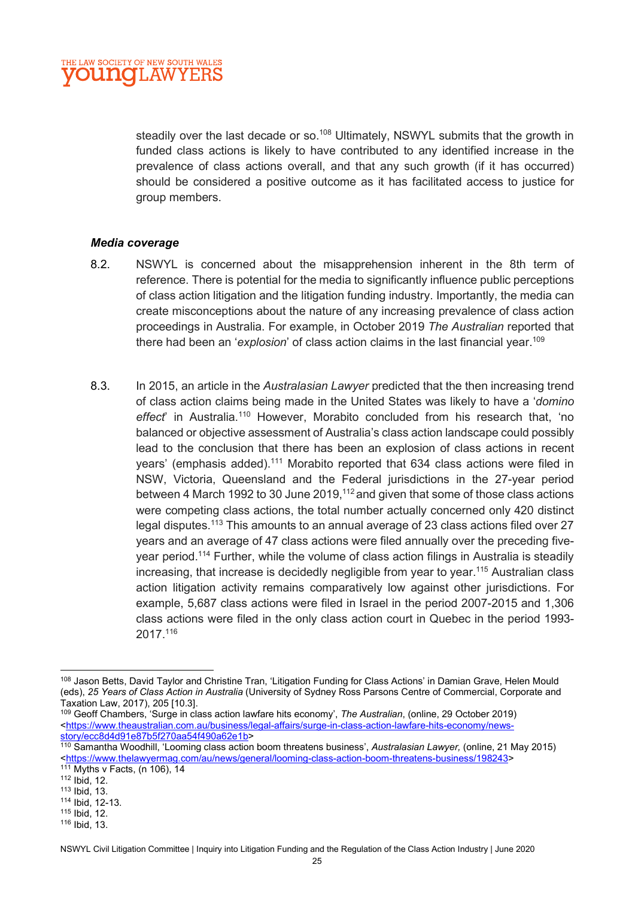steadily over the last decade or so.<sup>108</sup> Ultimately, NSWYL submits that the growth in funded class actions is likely to have contributed to any identified increase in the prevalence of class actions overall, and that any such growth (if it has occurred) should be considered a positive outcome as it has facilitated access to justice for group members.

#### Media coverage

- 8.2. NSWYL is concerned about the misapprehension inherent in the 8th term of reference. There is potential for the media to significantly influence public perceptions of class action litigation and the litigation funding industry. Importantly, the media can create misconceptions about the nature of any increasing prevalence of class action proceedings in Australia. For example, in October 2019 The Australian reported that there had been an 'explosion' of class action claims in the last financial vear.<sup>109</sup>
- 8.3. In 2015, an article in the Australasian Lawyer predicted that the then increasing trend of class action claims being made in the United States was likely to have a 'domino effect' in Australia.<sup>110</sup> However, Morabito concluded from his research that, 'no balanced or objective assessment of Australia's class action landscape could possibly lead to the conclusion that there has been an explosion of class actions in recent years' (emphasis added).<sup>111</sup> Morabito reported that 634 class actions were filed in NSW, Victoria, Queensland and the Federal jurisdictions in the 27-year period between 4 March 1992 to 30 June 2019,<sup>112</sup> and given that some of those class actions were competing class actions, the total number actually concerned only 420 distinct legal disputes.<sup>113</sup> This amounts to an annual average of 23 class actions filed over 27 years and an average of 47 class actions were filed annually over the preceding fiveyear period.<sup>114</sup> Further, while the volume of class action filings in Australia is steadily increasing, that increase is decidedly negligible from year to year.<sup>115</sup> Australian class action litigation activity remains comparatively low against other jurisdictions. For example, 5,687 class actions were filed in Israel in the period 2007-2015 and 1,306 class actions were filed in the only class action court in Quebec in the period 1993- 2017.<sup>116</sup>

<sup>108</sup> Jason Betts, David Taylor and Christine Tran, 'Litigation Funding for Class Actions' in Damian Grave, Helen Mould (eds), 25 Years of Class Action in Australia (University of Sydney Ross Parsons Centre of Commercial, Corporate and Taxation Law, 2017), 205 [10.3].

<sup>109</sup> Geoff Chambers, 'Surge in class action lawfare hits economy', The Australian, (online, 29 October 2019) <https://www.theaustralian.com.au/business/legal-affairs/surge-in-class-action-lawfare-hits-economy/newsstory/ecc8d4d91e87b5f270aa54f490a62e1b>

<sup>110</sup> Samantha Woodhill, 'Looming class action boom threatens business', Australasian Lawyer, (online, 21 May 2015) <https://www.thelawyermag.com/au/news/general/looming-class-action-boom-threatens-business/198243> 111 Myths v Facts, (n 106), 14

<sup>112</sup> Ibid, 12.

<sup>113</sup> Ibid, 13.

<sup>114</sup> Ibid, 12-13.

<sup>115</sup> Ibid, 12.

<sup>116</sup> Ibid, 13.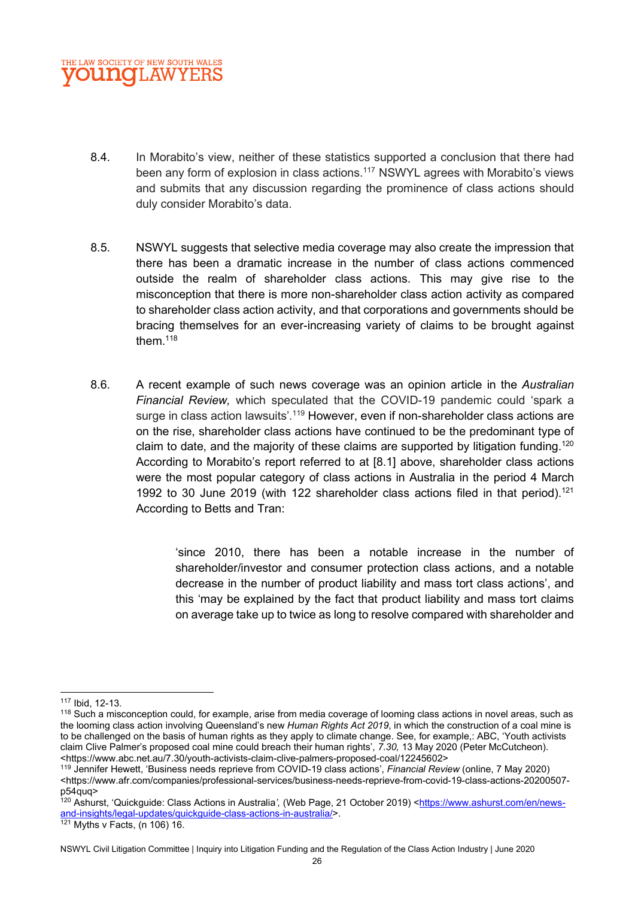

- 8.4. In Morabito's view, neither of these statistics supported a conclusion that there had been any form of explosion in class actions.<sup>117</sup> NSWYL agrees with Morabito's views and submits that any discussion regarding the prominence of class actions should duly consider Morabito's data.
- 8.5. NSWYL suggests that selective media coverage may also create the impression that there has been a dramatic increase in the number of class actions commenced outside the realm of shareholder class actions. This may give rise to the misconception that there is more non-shareholder class action activity as compared to shareholder class action activity, and that corporations and governments should be bracing themselves for an ever-increasing variety of claims to be brought against them. $^{\rm 118}$
- 8.6. A recent example of such news coverage was an opinion article in the Australian Financial Review, which speculated that the COVID-19 pandemic could 'spark a surge in class action lawsuits'.<sup>119</sup> However, even if non-shareholder class actions are on the rise, shareholder class actions have continued to be the predominant type of claim to date, and the majority of these claims are supported by litigation funding.<sup>120</sup> According to Morabito's report referred to at [8.1] above, shareholder class actions were the most popular category of class actions in Australia in the period 4 March 1992 to 30 June 2019 (with 122 shareholder class actions filed in that period).<sup>121</sup> According to Betts and Tran:

'since 2010, there has been a notable increase in the number of shareholder/investor and consumer protection class actions, and a notable decrease in the number of product liability and mass tort class actions', and this 'may be explained by the fact that product liability and mass tort claims on average take up to twice as long to resolve compared with shareholder and

<sup>117</sup> Ibid, 12-13.

<sup>&</sup>lt;sup>118</sup> Such a misconception could, for example, arise from media coverage of looming class actions in novel areas, such as the looming class action involving Queensland's new Human Rights Act 2019, in which the construction of a coal mine is to be challenged on the basis of human rights as they apply to climate change. See, for example,: ABC, 'Youth activists claim Clive Palmer's proposed coal mine could breach their human rights', 7.30, 13 May 2020 (Peter McCutcheon). <https://www.abc.net.au/7.30/youth-activists-claim-clive-palmers-proposed-coal/12245602>

<sup>119</sup> Jennifer Hewett, 'Business needs reprieve from COVID-19 class actions', Financial Review (online, 7 May 2020) <https://www.afr.com/companies/professional-services/business-needs-reprieve-from-covid-19-class-actions-20200507 p54quq>

<sup>120</sup> Ashurst, 'Quickguide: Class Actions in Australia', (Web Page, 21 October 2019) <https://www.ashurst.com/en/newsand-insights/legal-updates/quickguide-class-actions-in-australia/>.

 $121$  Myths v Facts, (n 106) 16.

NSWYL Civil Litigation Committee | Inquiry into Litigation Funding and the Regulation of the Class Action Industry | June 2020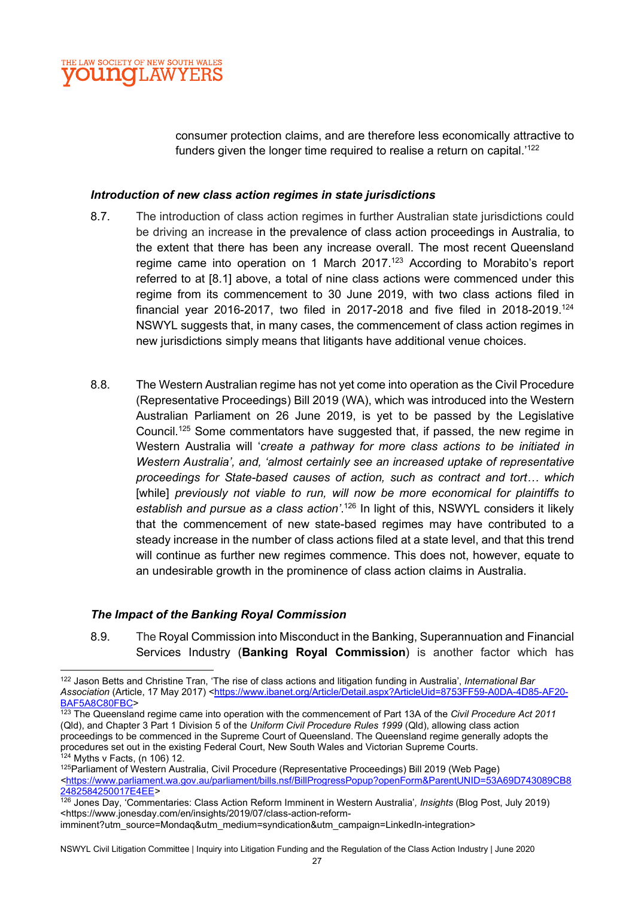consumer protection claims, and are therefore less economically attractive to funders given the longer time required to realise a return on capital.<sup>'122</sup>

#### Introduction of new class action regimes in state jurisdictions

- 8.7. The introduction of class action regimes in further Australian state jurisdictions could be driving an increase in the prevalence of class action proceedings in Australia, to the extent that there has been any increase overall. The most recent Queensland regime came into operation on 1 March 2017.<sup>123</sup> According to Morabito's report referred to at [8.1] above, a total of nine class actions were commenced under this regime from its commencement to 30 June 2019, with two class actions filed in financial year 2016-2017, two filed in 2017-2018 and five filed in 2018-2019.<sup>124</sup> NSWYL suggests that, in many cases, the commencement of class action regimes in new jurisdictions simply means that litigants have additional venue choices.
- 8.8. The Western Australian regime has not yet come into operation as the Civil Procedure (Representative Proceedings) Bill 2019 (WA), which was introduced into the Western Australian Parliament on 26 June 2019, is yet to be passed by the Legislative Council.<sup>125</sup> Some commentators have suggested that, if passed, the new regime in Western Australia will 'create a pathway for more class actions to be initiated in Western Australia', and, 'almost certainly see an increased uptake of representative proceedings for State-based causes of action, such as contract and tort… which [while] previously not viable to run, will now be more economical for plaintiffs to establish and pursue as a class action'.<sup>126</sup> In light of this, NSWYL considers it likely that the commencement of new state-based regimes may have contributed to a steady increase in the number of class actions filed at a state level, and that this trend will continue as further new regimes commence. This does not, however, equate to an undesirable growth in the prominence of class action claims in Australia.

#### The Impact of the Banking Royal Commission

8.9. The Royal Commission into Misconduct in the Banking, Superannuation and Financial Services Industry (Banking Royal Commission) is another factor which has

<sup>&</sup>lt;sup>122</sup> Jason Betts and Christine Tran, 'The rise of class actions and litigation funding in Australia', International Bar Association (Article, 17 May 2017) <https://www.ibanet.org/Article/Detail.aspx?ArticleUid=8753FF59-A0DA-4D85-AF20-BAF5A8C80FBC>

 $\frac{123}{123}$  The Queensland regime came into operation with the commencement of Part 13A of the Civil Procedure Act 2011 (Qld), and Chapter 3 Part 1 Division 5 of the Uniform Civil Procedure Rules 1999 (Qld), allowing class action proceedings to be commenced in the Supreme Court of Queensland. The Queensland regime generally adopts the procedures set out in the existing Federal Court, New South Wales and Victorian Supreme Courts.  $124$  Myths v Facts, (n 106) 12.

<sup>125</sup>Parliament of Western Australia, Civil Procedure (Representative Proceedings) Bill 2019 (Web Page) <https://www.parliament.wa.gov.au/parliament/bills.nsf/BillProgressPopup?openForm&ParentUNID=53A69D743089CB8 2482584250017E4EE>

<sup>&</sup>lt;sup>126</sup> Jones Dav, 'Commentaries: Class Action Reform Imminent in Western Australia', Insights (Blog Post, July 2019) <https://www.jonesday.com/en/insights/2019/07/class-action-reformimminent?utm\_source=Mondaq&utm\_medium=syndication&utm\_campaign=LinkedIn-integration>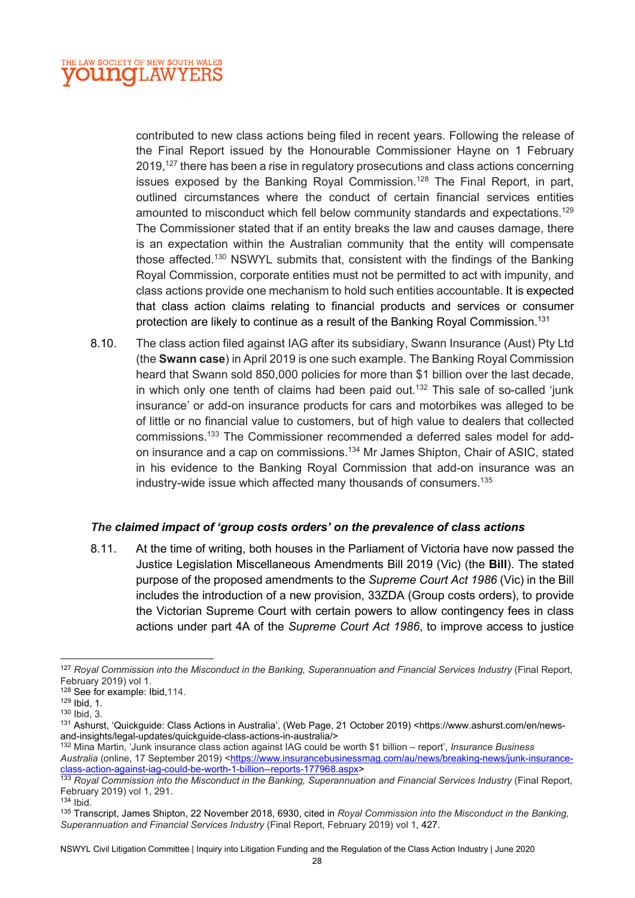

contributed to new class actions being filed in recent years. Following the release of the Final Report issued by the Honourable Commissioner Hayne on 1 February 2019,<sup>127</sup> there has been a rise in regulatory prosecutions and class actions concerning issues exposed by the Banking Royal Commission.<sup>128</sup> The Final Report, in part, outlined circumstances where the conduct of certain financial services entities amounted to misconduct which fell below community standards and expectations.<sup>129</sup> The Commissioner stated that if an entity breaks the law and causes damage, there is an expectation within the Australian community that the entity will compensate those affected.<sup>130</sup> NSWYL submits that, consistent with the findings of the Banking Royal Commission, corporate entities must not be permitted to act with impunity, and class actions provide one mechanism to hold such entities accountable. It is expected that class action claims relating to financial products and services or consumer protection are likely to continue as a result of the Banking Royal Commission.<sup>131</sup>

8.10. The class action filed against IAG after its subsidiary, Swann Insurance (Aust) Pty Ltd (the Swann case) in April 2019 is one such example. The Banking Royal Commission heard that Swann sold 850,000 policies for more than \$1 billion over the last decade, in which only one tenth of claims had been paid out.<sup>132</sup> This sale of so-called 'junk insurance' or add-on insurance products for cars and motorbikes was alleged to be of little or no financial value to customers, but of high value to dealers that collected commissions.133 The Commissioner recommended a deferred sales model for addon insurance and a cap on commissions.<sup>134</sup> Mr James Shipton, Chair of ASIC, stated in his evidence to the Banking Royal Commission that add-on insurance was an industry-wide issue which affected many thousands of consumers.<sup>135</sup>

#### The claimed impact of 'group costs orders' on the prevalence of class actions

8.11. At the time of writing, both houses in the Parliament of Victoria have now passed the Justice Legislation Miscellaneous Amendments Bill 2019 (Vic) (the Bill). The stated purpose of the proposed amendments to the Supreme Court Act 1986 (Vic) in the Bill includes the introduction of a new provision, 33ZDA (Group costs orders), to provide the Victorian Supreme Court with certain powers to allow contingency fees in class actions under part 4A of the Supreme Court Act 1986, to improve access to justice

<sup>134</sup> Ibid.

<sup>&</sup>lt;sup>127</sup> Royal Commission into the Misconduct in the Banking, Superannuation and Financial Services Industry (Final Report, February 2019) vol 1.

<sup>128</sup> See for example: Ibid, 114.

<sup>129</sup> Ibid, 1.

<sup>130</sup> Ibid, 3.

<sup>131</sup> Ashurst, 'Quickguide: Class Actions in Australia', (Web Page, 21 October 2019) <https://www.ashurst.com/en/newsand-insights/legal-updates/quickguide-class-actions-in-australia/>

<sup>132</sup> Mina Martin, 'Junk insurance class action against IAG could be worth \$1 billion – report', Insurance Business Australia (online, 17 September 2019) <https://www.insurancebusinessmag.com/au/news/breaking-news/junk-insuranceclass-action-against-iag-could-be-worth-1-billion--reports-177968.aspx>

<sup>&</sup>lt;sup>133</sup> Royal Commission into the Misconduct in the Banking, Superannuation and Financial Services Industry (Final Report, February 2019) vol 1, 291.

<sup>&</sup>lt;sup>135</sup> Transcript, James Shipton, 22 November 2018, 6930, cited in Royal Commission into the Misconduct in the Banking, Superannuation and Financial Services Industry (Final Report, February 2019) vol 1, 427.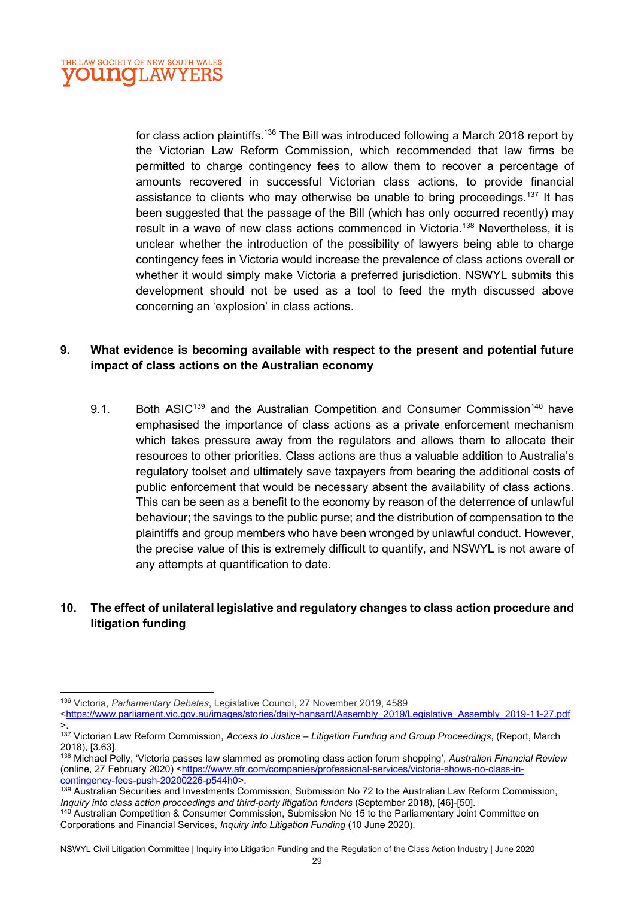

for class action plaintiffs.<sup>136</sup> The Bill was introduced following a March 2018 report by the Victorian Law Reform Commission, which recommended that law firms be permitted to charge contingency fees to allow them to recover a percentage of amounts recovered in successful Victorian class actions, to provide financial assistance to clients who may otherwise be unable to bring proceedings.<sup>137</sup> It has been suggested that the passage of the Bill (which has only occurred recently) may result in a wave of new class actions commenced in Victoria.<sup>138</sup> Nevertheless, it is unclear whether the introduction of the possibility of lawyers being able to charge contingency fees in Victoria would increase the prevalence of class actions overall or whether it would simply make Victoria a preferred jurisdiction. NSWYL submits this development should not be used as a tool to feed the myth discussed above concerning an 'explosion' in class actions.

#### 9. What evidence is becoming available with respect to the present and potential future impact of class actions on the Australian economy

9.1. Both ASIC<sup>139</sup> and the Australian Competition and Consumer Commission<sup>140</sup> have emphasised the importance of class actions as a private enforcement mechanism which takes pressure away from the regulators and allows them to allocate their resources to other priorities. Class actions are thus a valuable addition to Australia's regulatory toolset and ultimately save taxpayers from bearing the additional costs of public enforcement that would be necessary absent the availability of class actions. This can be seen as a benefit to the economy by reason of the deterrence of unlawful behaviour; the savings to the public purse; and the distribution of compensation to the plaintiffs and group members who have been wronged by unlawful conduct. However, the precise value of this is extremely difficult to quantify, and NSWYL is not aware of any attempts at quantification to date.

#### 10. The effect of unilateral legislative and regulatory changes to class action procedure and litigation funding

<sup>136</sup> Victoria, Parliamentary Debates, Legislative Council, 27 November 2019, 4589

<sup>&</sup>lt;https://www.parliament.vic.gov.au/images/stories/daily-hansard/Assembly\_2019/Legislative\_Assembly\_2019-11-27.pdf >.

<sup>137</sup> Victorian Law Reform Commission, Access to Justice - Litigation Funding and Group Proceedings, (Report, March 2018), [3.63].

<sup>138</sup> Michael Pelly, 'Victoria passes law slammed as promoting class action forum shopping', Australian Financial Review (online, 27 February 2020) <https://www.afr.com/companies/professional-services/victoria-shows-no-class-incontingency-fees-push-20200226-p544h0>.

<sup>&</sup>lt;sup>139</sup> Australian Securities and Investments Commission, Submission No 72 to the Australian Law Reform Commission, Inquiry into class action proceedings and third-party litigation funders (September 2018), [46]-[50].

<sup>140</sup> Australian Competition & Consumer Commission, Submission No 15 to the Parliamentary Joint Committee on Corporations and Financial Services, Inquiry into Litigation Funding (10 June 2020).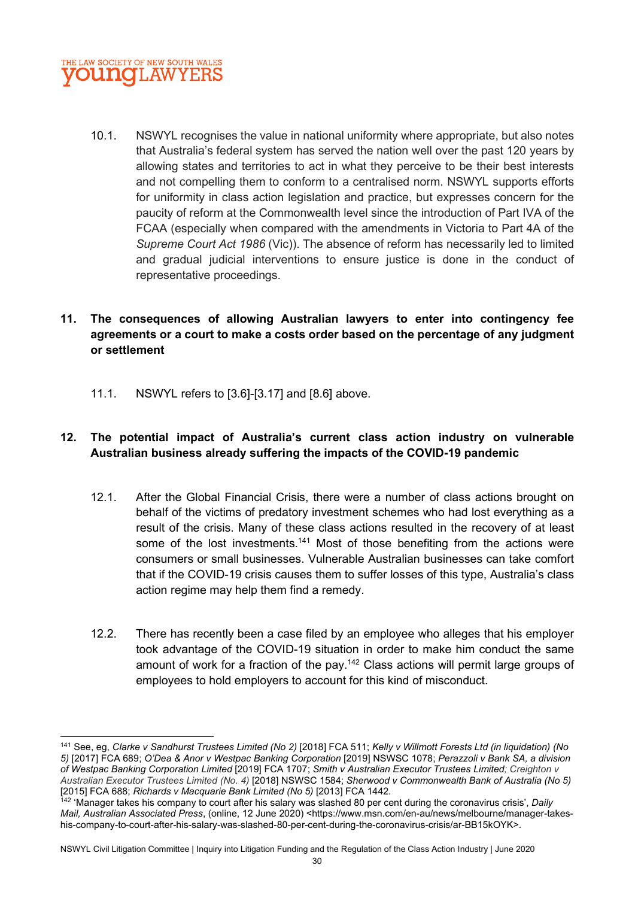

10.1. NSWYL recognises the value in national uniformity where appropriate, but also notes that Australia's federal system has served the nation well over the past 120 years by allowing states and territories to act in what they perceive to be their best interests and not compelling them to conform to a centralised norm. NSWYL supports efforts for uniformity in class action legislation and practice, but expresses concern for the paucity of reform at the Commonwealth level since the introduction of Part IVA of the FCAA (especially when compared with the amendments in Victoria to Part 4A of the Supreme Court Act 1986 (Vic)). The absence of reform has necessarily led to limited and gradual judicial interventions to ensure justice is done in the conduct of representative proceedings.

#### 11. The consequences of allowing Australian lawyers to enter into contingency fee agreements or a court to make a costs order based on the percentage of any judgment or settlement

11.1. NSWYL refers to [3.6]-[3.17] and [8.6] above.

## 12. The potential impact of Australia's current class action industry on vulnerable Australian business already suffering the impacts of the COVID-19 pandemic

- 12.1. After the Global Financial Crisis, there were a number of class actions brought on behalf of the victims of predatory investment schemes who had lost everything as a result of the crisis. Many of these class actions resulted in the recovery of at least some of the lost investments.<sup>141</sup> Most of those benefiting from the actions were consumers or small businesses. Vulnerable Australian businesses can take comfort that if the COVID-19 crisis causes them to suffer losses of this type, Australia's class action regime may help them find a remedy.
- 12.2. There has recently been a case filed by an employee who alleges that his employer took advantage of the COVID-19 situation in order to make him conduct the same amount of work for a fraction of the pay.<sup>142</sup> Class actions will permit large groups of employees to hold employers to account for this kind of misconduct.

<sup>141</sup> See, eg, Clarke v Sandhurst Trustees Limited (No 2) [2018] FCA 511; Kelly v Willmott Forests Ltd (in liquidation) (No 5) [2017] FCA 689; O'Dea & Anor v Westpac Banking Corporation [2019] NSWSC 1078; Perazzoli v Bank SA, a division of Westpac Banking Corporation Limited [2019] FCA 1707; Smith v Australian Executor Trustees Limited; Creighton v Australian Executor Trustees Limited (No. 4) [2018] NSWSC 1584; Sherwood v Commonwealth Bank of Australia (No 5) [2015] FCA 688; Richards v Macquarie Bank Limited (No 5) [2013] FCA 1442.

 $^{142}$  'Manager takes his company to court after his salary was slashed 80 per cent during the coronavirus crisis', Daily Mail, Australian Associated Press, (online, 12 June 2020) <https://www.msn.com/en-au/news/melbourne/manager-takeshis-company-to-court-after-his-salary-was-slashed-80-per-cent-during-the-coronavirus-crisis/ar-BB15kOYK>.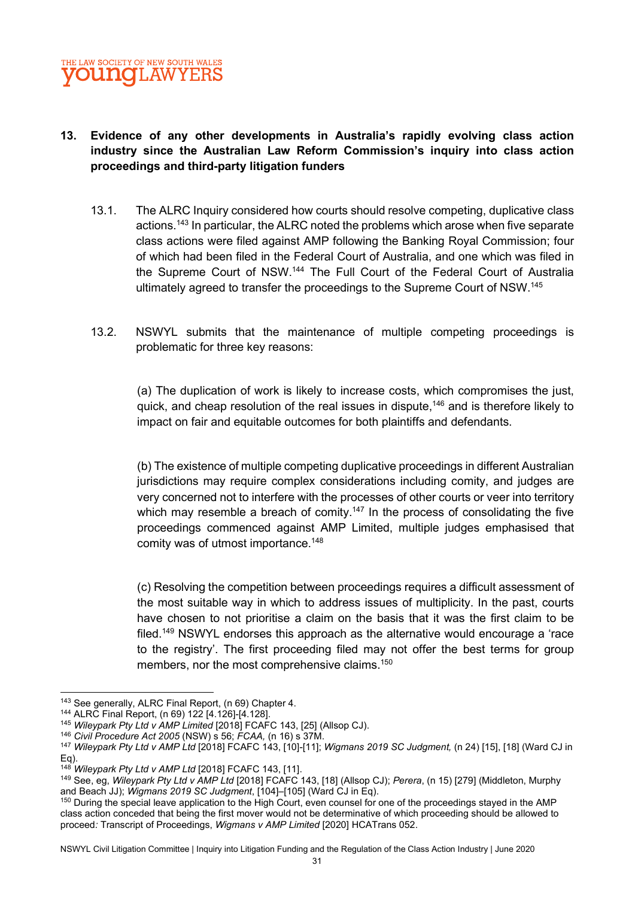## 13. Evidence of any other developments in Australia's rapidly evolving class action industry since the Australian Law Reform Commission's inquiry into class action proceedings and third-party litigation funders

- 13.1. The ALRC Inquiry considered how courts should resolve competing, duplicative class actions.<sup>143</sup> In particular, the ALRC noted the problems which arose when five separate class actions were filed against AMP following the Banking Royal Commission; four of which had been filed in the Federal Court of Australia, and one which was filed in the Supreme Court of NSW.<sup>144</sup> The Full Court of the Federal Court of Australia ultimately agreed to transfer the proceedings to the Supreme Court of NSW.<sup>145</sup>
- 13.2. NSWYL submits that the maintenance of multiple competing proceedings is problematic for three key reasons:

(a) The duplication of work is likely to increase costs, which compromises the just, quick, and cheap resolution of the real issues in dispute,<sup>146</sup> and is therefore likely to impact on fair and equitable outcomes for both plaintiffs and defendants.

(b) The existence of multiple competing duplicative proceedings in different Australian jurisdictions may require complex considerations including comity, and judges are very concerned not to interfere with the processes of other courts or veer into territory which may resemble a breach of comity.<sup>147</sup> In the process of consolidating the five proceedings commenced against AMP Limited, multiple judges emphasised that comity was of utmost importance.<sup>148</sup>

(c) Resolving the competition between proceedings requires a difficult assessment of the most suitable way in which to address issues of multiplicity. In the past, courts have chosen to not prioritise a claim on the basis that it was the first claim to be filed.<sup>149</sup> NSWYL endorses this approach as the alternative would encourage a 'race to the registry'. The first proceeding filed may not offer the best terms for group members, nor the most comprehensive claims.<sup>150</sup>

<sup>143</sup> See generally, ALRC Final Report, (n 69) Chapter 4.

<sup>144</sup> ALRC Final Report, (n 69) 122 [4.126]-[4.128].

<sup>&</sup>lt;sup>145</sup> Wileypark Pty Ltd v AMP Limited [2018] FCAFC 143, [25] (Allsop CJ).

<sup>146</sup> Civil Procedure Act 2005 (NSW) s 56; FCAA, (n 16) s 37M.

<sup>&</sup>lt;sup>147</sup> Wileypark Pty Ltd v AMP Ltd [2018] FCAFC 143, [10]-[11]; Wigmans 2019 SC Judgment, (n 24) [15], [18] (Ward CJ in Eq).

<sup>&</sup>lt;sup>148</sup> Wileypark Pty Ltd v AMP Ltd [2018] FCAFC 143, [11].

<sup>149</sup> See, eg, Wileypark Pty Ltd v AMP Ltd [2018] FCAFC 143, [18] (Allsop CJ); Perera, (n 15) [279] (Middleton, Murphy and Beach JJ); Wigmans 2019 SC Judgment, [104]–[105] (Ward CJ in Eq).

<sup>150</sup> During the special leave application to the High Court, even counsel for one of the proceedings stayed in the AMP class action conceded that being the first mover would not be determinative of which proceeding should be allowed to proceed: Transcript of Proceedings, Wigmans v AMP Limited [2020] HCATrans 052.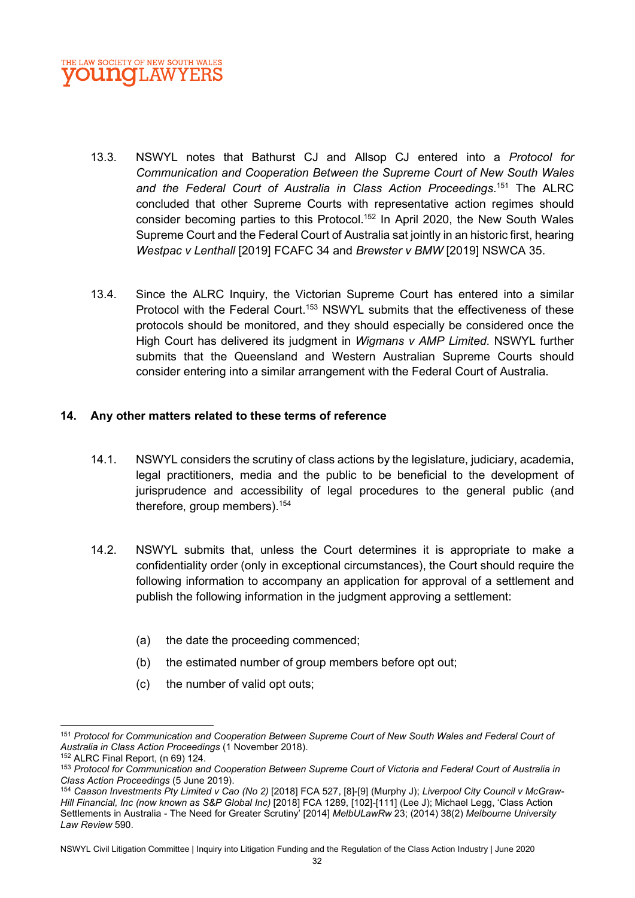

- 13.3. NSWYL notes that Bathurst CJ and Allsop CJ entered into a Protocol for Communication and Cooperation Between the Supreme Court of New South Wales and the Federal Court of Australia in Class Action Proceedings.<sup>151</sup> The ALRC concluded that other Supreme Courts with representative action regimes should consider becoming parties to this Protocol.<sup>152</sup> In April 2020, the New South Wales Supreme Court and the Federal Court of Australia sat jointly in an historic first, hearing Westpac v Lenthall [2019] FCAFC 34 and Brewster v BMW [2019] NSWCA 35.
- 13.4. Since the ALRC Inquiry, the Victorian Supreme Court has entered into a similar Protocol with the Federal Court.<sup>153</sup> NSWYL submits that the effectiveness of these protocols should be monitored, and they should especially be considered once the High Court has delivered its judgment in Wigmans v AMP Limited. NSWYL further submits that the Queensland and Western Australian Supreme Courts should consider entering into a similar arrangement with the Federal Court of Australia.

#### 14. Any other matters related to these terms of reference

- 14.1. NSWYL considers the scrutiny of class actions by the legislature, judiciary, academia, legal practitioners, media and the public to be beneficial to the development of jurisprudence and accessibility of legal procedures to the general public (and therefore, group members).<sup>154</sup>
- 14.2. NSWYL submits that, unless the Court determines it is appropriate to make a confidentiality order (only in exceptional circumstances), the Court should require the following information to accompany an application for approval of a settlement and publish the following information in the judgment approving a settlement:
	- (a) the date the proceeding commenced;
	- (b) the estimated number of group members before opt out;
	- (c) the number of valid opt outs;

<sup>151</sup> Protocol for Communication and Cooperation Between Supreme Court of New South Wales and Federal Court of Australia in Class Action Proceedings (1 November 2018).

<sup>152</sup> ALRC Final Report, (n 69) 124.

<sup>153</sup> Protocol for Communication and Cooperation Between Supreme Court of Victoria and Federal Court of Australia in Class Action Proceedings (5 June 2019).

<sup>154</sup> Caason Investments Pty Limited v Cao (No 2) [2018] FCA 527, [8]-[9] (Murphy J); Liverpool City Council v McGraw-Hill Financial, Inc (now known as S&P Global Inc) [2018] FCA 1289, [102]-[111] (Lee J); Michael Legg, 'Class Action Settlements in Australia - The Need for Greater Scrutiny<sup>7</sup> [2014] MelbULawRw 23; (2014) 38(2) Melbourne University Law Review 590.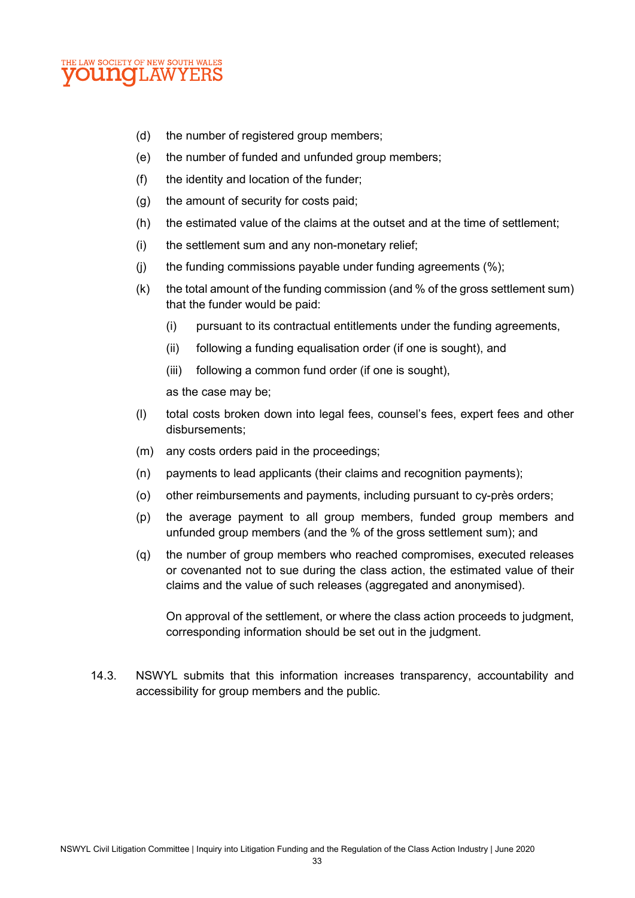

- (d) the number of registered group members;
- (e) the number of funded and unfunded group members;
- (f) the identity and location of the funder;
- (g) the amount of security for costs paid;
- (h) the estimated value of the claims at the outset and at the time of settlement;
- (i) the settlement sum and any non-monetary relief;
- (i) the funding commissions payable under funding agreements  $(\%)$ ;
- (k) the total amount of the funding commission (and % of the gross settlement sum) that the funder would be paid:
	- (i) pursuant to its contractual entitlements under the funding agreements,
	- (ii) following a funding equalisation order (if one is sought), and
	- (iii) following a common fund order (if one is sought),

as the case may be;

- (l) total costs broken down into legal fees, counsel's fees, expert fees and other disbursements;
- (m) any costs orders paid in the proceedings;
- (n) payments to lead applicants (their claims and recognition payments);
- (o) other reimbursements and payments, including pursuant to cy-près orders;
- (p) the average payment to all group members, funded group members and unfunded group members (and the % of the gross settlement sum); and
- (q) the number of group members who reached compromises, executed releases or covenanted not to sue during the class action, the estimated value of their claims and the value of such releases (aggregated and anonymised).

On approval of the settlement, or where the class action proceeds to judgment, corresponding information should be set out in the judgment.

14.3. NSWYL submits that this information increases transparency, accountability and accessibility for group members and the public.